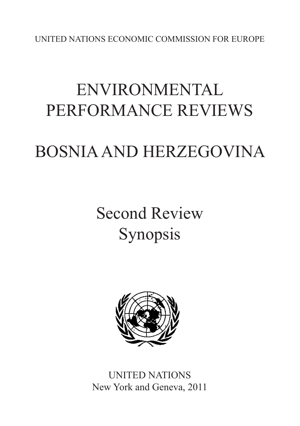UNITED NATIONS ECONOMIC COMMISSION FOR EUROPE

# ENVIRONMENTAL PERFORMANCE REVIEWS

# BOSNIA AND HERZEGOVINA

# Second Review Synopsis



UNITED NATIONS New York and Geneva, 2011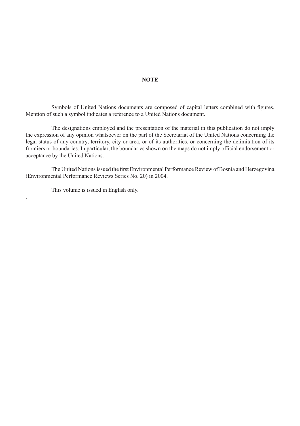### **NOTE**

 Symbols of United Nations documents are composed of capital letters combined with figures. Mention of such a symbol indicates a reference to a United Nations document.

 The designations employed and the presentation of the material in this publication do not imply the expression of any opinion whatsoever on the part of the Secretariat of the United Nations concerning the legal status of any country, territory, city or area, or of its authorities, or concerning the delimitation of its frontiers or boundaries. In particular, the boundaries shown on the maps do not imply official endorsement or acceptance by the United Nations.

 The United Nationsissued the first Environmental Performance Review of Bosnia and Herzegovina (Environmental Performance Reviews Series No. 20) in 2004.

 This volume is issued in English only.

.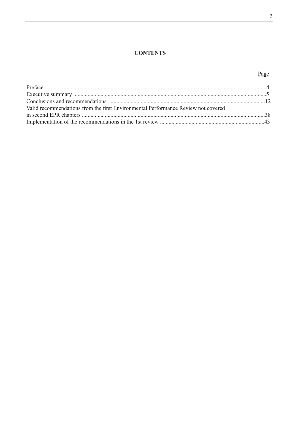#### $\mathfrak z$

# **CONTENTS**

# Page

| Valid recommendations from the first Environmental Performance Review not covered |  |
|-----------------------------------------------------------------------------------|--|
|                                                                                   |  |
|                                                                                   |  |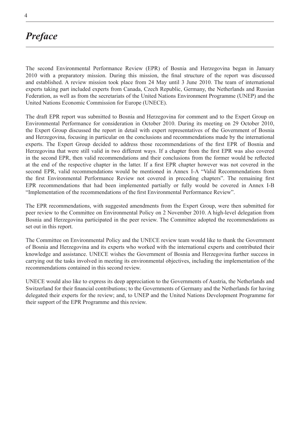# *Preface*

The second Environmental Performance Review (EPR) of Bosnia and Herzegovina began in January 2010 with a preparatory mission. During this mission, the final structure of the report was discussed and established. A review mission took place from 24 May until 3 June 2010. The team of international experts taking part included experts from Canada, Czech Republic, Germany, the Netherlands and Russian Federation, as well as from the secretariats of the United Nations Environment Programme (UNEP) and the United Nations Economic Commission for Europe (UNECE).

The draft EPR report was submitted to Bosnia and Herzegovina for comment and to the Expert Group on Environmental Performance for consideration in October 2010. During its meeting on 29 October 2010, the Expert Group discussed the report in detail with expert representatives of the Government of Bosnia and Herzegovina, focusing in particular on the conclusions and recommendations made by the international experts. The Expert Group decided to address those recommendations of the first EPR of Bosnia and Herzegovina that were still valid in two different ways. If a chapter from the first EPR was also covered in the second EPR, then valid recommendations and their conclusions from the former would be reflected at the end of the respective chapter in the latter. If a first EPR chapter however was not covered in the second EPR, valid recommendations would be mentioned in Annex I-A "Valid Recommendations from the first Environmental Performance Review not covered in preceding chapters". The remaining first EPR recommendations that had been implemented partially or fully would be covered in Annex I-B "Implementation of the recommendations of the first Environmental Performance Review".

The EPR recommendations, with suggested amendments from the Expert Group, were then submitted for peer review to the Committee on Environmental Policy on 2 November 2010. A high-level delegation from Bosnia and Herzegovina participated in the peer review. The Committee adopted the recommendations as set out in this report.

The Committee on Environmental Policy and the UNECE review team would like to thank the Government of Bosnia and Herzegovina and its experts who worked with the international experts and contributed their knowledge and assistance. UNECE wishes the Government of Bosnia and Herzegovina further success in carrying out the tasks involved in meeting its environmental objectives, including the implementation of the recommendations contained in this second review.

UNECE would also like to express its deep appreciation to the Governments of Austria, the Netherlands and Switzerland for their financial contributions; to the Governments of Germany and the Netherlands for having delegated their experts for the review; and, to UNEP and the United Nations Development Programme for their support of the EPR Programme and this review.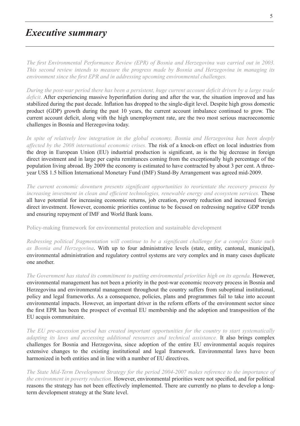# *Executive summary*

*The first Environmental Performance Review (EPR) of Bosnia and Herzegovina was carried out in 2003. This second review intends to measure the progress made by Bosnia and Herzegovina in managing its environment since the first EPR and in addressing upcoming environmental challenges.*

*During the post-war period there has been a persistent, huge current account deficit driven by a large trade deficit*. After experiencing massive hyperinflation during and after the war, the situation improved and has stabilized during the past decade. Inflation has dropped to the single-digit level. Despite high gross domestic product (GDP) growth during the past 10 years, the current account imbalance continued to grow. The current account deficit, along with the high unemployment rate, are the two most serious macroeconomic challenges in Bosnia and Herzegovina today.

*In spite of relatively low integration in the global economy, Bosnia and Herzegovina has been deeply affected by the 2008 international economic crises.* The risk of a knock-on effect on local industries from the drop in European Union (EU) industrial production is significant, as is the big decrease in foreign direct investment and in large per capita remittances coming from the exceptionally high percentage of the population living abroad. By 2009 the economy is estimated to have contracted by about 3 per cent. A threeyear US\$ 1.5 billion International Monetary Fund (IMF) Stand-By Arrangement was agreed mid-2009.

*The current economic downturn presents significant opportunities to reorientate the recovery process by increasing investment in clean and efficient technologies, renewable energy and ecosystem services.* These all have potential for increasing economic returns, job creation, poverty reduction and increased foreign direct investment. However, economic priorities continue to be focused on redressing negative GDP trends and ensuring repayment of IMF and World Bank loans.

Policy-making framework for environmental protection and sustainable development

*Redressing political fragmentation will continue to be a significant challenge for a complex State such as Bosnia and Herzegovina*. With up to four administrative levels (state, entity, cantonal, municipal), environmental administration and regulatory control systems are very complex and in many cases duplicate one another.

*The Government has stated its commitment to putting environmental priorities high on its agenda.* However, environmental management has not been a priority in the post-war economic recovery process in Bosnia and Herzegovina and environmental management throughout the country suffers from suboptimal institutional, policy and legal frameworks. As a consequence, policies, plans and programmes fail to take into account environmental impacts. However, an important driver in the reform efforts of the environment sector since the first EPR has been the prospect of eventual EU membership and the adoption and transposition of the EU acquis communitaire.

*The EU pre-accession period has created important opportunities for the country to start systematically adapting its laws and accessing additional resources and technical assistance.* It also brings complex challenges for Bosnia and Herzegovina, since adoption of the entire EU environmental acquis requires extensive changes to the existing institutional and legal framework. Environmental laws have been harmonized in both entities and in line with a number of EU directives.

*The State Mid-Term Development Strategy for the period 2004-2007 makes reference to the importance of the environment in poverty reduction.* However, environmental priorities were not specified, and for political reasons the strategy has not been effectively implemented. There are currently no plans to develop a longterm development strategy at the State level.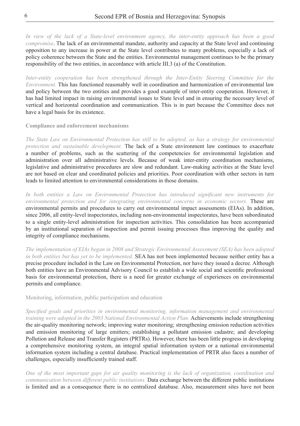*In view of the lack of a State-level environment agency, the inter-entity approach has been a good compromise*. The lack of an environmental mandate, authority and capacity at the State level and continuing opposition to any increase in power at the State level contributes to many problems, especially a lack of policy coherence between the State and the entities. Environmental management continues to be the primary responsibility of the two entities, in accordance with article III.3 (a) of the Constitution.

*Inter-entity cooperation has been strengthened through the Inter-Entity Steering Committee for the Environment.* This has functioned reasonably well in coordination and harmonization of environmental law and policy between the two entities and provides a good example of inter-entity cooperation. However, it has had limited impact in raising environmental issues to State level and in ensuring the necessary level of vertical and horizontal coordination and communication. This is in part because the Committee does not have a legal basis for its existence.

**Compliance and enforcement mechanisms**

*The State Law on Environmental Protection has still to be adopted, as has a strategy for environmental protection and sustainable development.* The lack of a State environment law continues to exacerbate a number of problems, such as the scattering of the competencies for environmental legislation and administration over all administrative levels. Because of weak inter-entity coordination mechanisms, legislative and administrative procedures are slow and redundant. Law-making activities at the State level are not based on clear and coordinated policies and priorities. Poor coordination with other sectors in turn leads to limited attention to environmental considerations in those domains.

*In both entities a Law on Environmental Protection has introduced significant new instruments for environmental protection and for integrating environmental concerns in economic sectors.* These are environmental permits and procedures to carry out environmental impact assessments (EIAs). In addition, since 2006, all entity-level inspectorates, including non-environmental inspectorates, have been subordinated to a single entity-level administration for inspection activities. This consolidation has been accompanied by an institutional separation of inspection and permit issuing processes thus improving the quality and integrity of compliance mechanisms.

*The implementation of EIAs began in 2008 and Strategic Environmental Assessment (SEA) has been adopted in both entities but has yet to be implemented.* SEA has not been implemented because neither entity has a precise procedure included in the Law on Environmental Protection, nor have they issued a decree. Although both entities have an Environmental Advisory Council to establish a wide social and scientific professional basis for environmental protection, there is a need for greater exchange of experiences on environmental permits and compliance.

Monitoring, information, public participation and education

*Specified goals and priorities in environmental monitoring, information management and environmental training were adopted in the 2003 National Environmental Action Plan.* Achievements include strengthening the air-quality monitoring network; improving water monitoring; strengthening emission reduction activities and emission monitoring of large emitters; establishing a pollutant emission cadastre; and developing Pollution and Release and Transfer Registers (PRTRs). However, there has been little progress in developing a comprehensive monitoring system, an integral spatial information system or a national environmental information system including a central database. Practical implementation of PRTR also faces a number of challenges, especially insufficiently trained staff.

*One of the most important gaps for air quality monitoring is the lack of organization, coordination and communication between different public institutions.* Data exchange between the different public institutions is limited and as a consequence there is no centralized database. Also, measurement sites have not been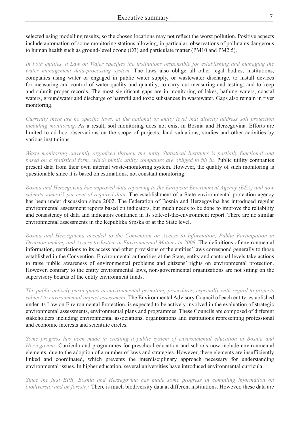selected using modelling results, so the chosen locations may not reflect the worst pollution. Positive aspects include automation of some monitoring stations allowing, in particular, observations of pollutants dangerous to human health such as ground-level ozone (O3) and particulate matter (PM10 and PM2.5).

*In both entities, a Law on Water specifies the institutions responsible for establishing and managing the water management data-processing system.* The laws also oblige all other legal bodies, institutions, companies using water or engaged in public water supply, or wastewater discharge, to install devices for measuring and control of water quality and quantity; to carry out measuring and testing; and to keep and submit proper records. The most significant gaps are in monitoring of lakes, bathing waters, coastal waters, groundwater and discharge of harmful and toxic substances in wastewater. Gaps also remain in river monitoring.

*Currently there are no specific laws, at the national or entity level that directly address soil protection including monitoring.* As a result, soil monitoring does not exist in Bosnia and Herzegovina. Efforts are limited to ad hoc observations on the scope of projects, land valuations, studies and other activities by various institutions.

*Waste monitoring currently organized through the entity Statistical Institutes is partially functional and based on a statistical form, which public utility companies are obliged to fill in.* Public utility companies present data from their own internal waste-monitoring system. However, the quality of such monitoring is questionable since it is based on estimations, not constant monitoring.

*Bosnia and Herzegovina has improved data reporting to the European Environment Agency (EEA) and now submits some 65 per cent of required data.* The establishment of a State environmental protection agency has been under discussion since 2002. The Federation of Bosnia and Herzegovina has introduced regular environmental assessment reports based on indicators, but much needs to be done to improve the reliability and consistency of data and indicators contained in its state-of-the-environment report. There are no similar environmental assessments in the Republika Srpska or at the State level.

*Bosnia and Herzegovina acceded to the Convention on Access to Information, Public Participation in Decision-making and Access to Justice in Environmental Matters in 2008.* The definitions of environmental information, restrictions to its access and other provisions of the entities' laws correspond generally to those established in the Convention. Environmental authorities at the State, entity and cantonal levels take actions to raise public awareness of environmental problems and citizens' rights on environmental protection. However, contrary to the entity environmental laws, non-governmental organizations are not sitting on the supervisory boards of the entity environment funds.

*The public actively participates in environmental permitting procedures, especially with regard to projects subject to environmental impact assessment.* The Environmental Advisory Council of each entity, established under its Law on Environmental Protection, is expected to be actively involved in the evaluation of strategic environmental assessments, environmental plans and programmes. These Councils are composed of different stakeholders including environmental associations, organizations and institutions representing professional and economic interests and scientific circles.

*Some progress has been made in creating a public system of environmental education in Bosnia and Herzegovina.* Curricula and programmes for preschool education and schools now include environmental elements, due to the adoption of a number of laws and strategies. However, these elements are insufficiently linked and coordinated, which prevents the interdisciplinary approach necessary for understanding environmental issues. In higher education, several universities have introduced environmental curricula.

*Since the first EPR, Bosnia and Herzegovina has made some progress in compiling information on biodiversity and on forestry.* There is much biodiversity data at different institutions. However, these data are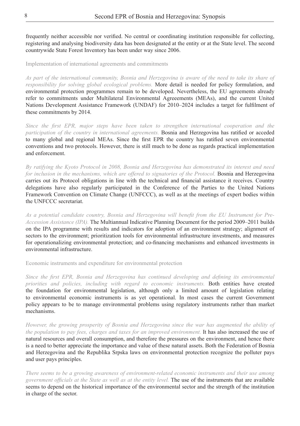frequently neither accessible nor verified. No central or coordinating institution responsible for collecting, registering and analysing biodiversity data has been designated at the entity or at the State level. The second countrywide State Forest Inventory has been under way since 2006.

Implementation of international agreements and commitments

*As part of the international community, Bosnia and Herzegovina is aware of the need to take its share of responsibility for solving global ecological problems.* More detail is needed for policy formulation, and environmental protection programmes remain to be developed. Nevertheless, the EU agreements already refer to commitments under Multilateral Environmental Agreeements (MEAs), and the current United Nations Development Assistance Framework (UNDAF) for 2010–2024 includes a target for fulfilment of these commitments by 2014.

*Since the first EPR, major steps have been taken to strengthen international cooperation and the participation of the country in international agreements*. Bosnia and Herzegovina has ratified or acceded to many global and regional MEAs. Since the first EPR the country has ratified seven environmental conventions and two protocols. However, there is still much to be done as regards practical implementation and enforcement.

*By ratifying the Kyoto Protocol in 2008, Bosnia and Herzegovina has demonstrated its interest and need for inclusion in the mechanisms, which are offered to signatories of the Protocol.* **Bosnia and Herzegovina** carries out its Protocol obligations in line with the technical and financial assistance it receives. Country delegations have also regularly participated in the Conference of the Parties to the United Nations Framework Convention on Climate Change (UNFCCC), as well as at the meetings of expert bodies within the UNFCCC secretariat.

*As a potential candidate country, Bosnia and Herzegovina will benefit from the EU Instrument for Pre-Accession Assistance (IPA).* The Multiannual Indicative Planning Document for the period 2009–2011 builds on the IPA programme with results and indicators for adoption of an environment strategy; alignment of sectors to the environment; prioritization tools for environmental infrastructure investments, and measures for operationalizing environmental protection; and co-financing mechanisms and enhanced investments in environmental infrastructure.

Economic instruments and expenditure for environmental protection

*Since the first EPR, Bosnia and Herzegovina has continued developing and defining its environmental priorities and policies, including with regard to economic instruments.* Both entities have created the foundation for environmental legislation, although only a limited amount of legislation relating to environmental economic instruments is as yet operational. In most cases the current Government policy appears to be to manage environmental problems using regulatory instruments rather than market mechanisms.

*However, the growing prosperity of Bosnia and Herzegovina since the war has augmented the ability of the population to pay fees, charges and taxes for an improved environment.* It has also increased the use of natural resources and overall consumption, and therefore the pressures on the environment, and hence there is a need to better appreciate the importance and value of these natural assets. Both the Federation of Bosnia and Herzegovina and the Republika Srpska laws on environmental protection recognize the polluter pays and user pays principles.

*There seems to be a growing awareness of environment-related economic instruments and their use among government officials at the State as well as at the entity level.* The use of the instruments that are available seems to depend on the historical importance of the environmental sector and the strength of the institution in charge of the sector.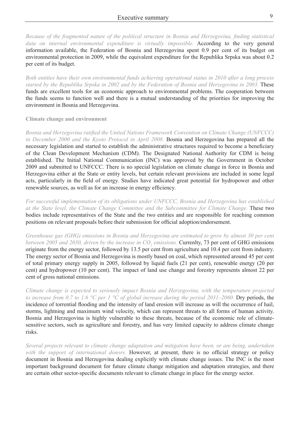*Because of the fragmented nature of the political structure in Bosnia and Herzegovina, finding statistical data on internal environmental expenditure is virtually impossible.* According to the very general information available, the Federation of Bosnia and Herzegovina spent 0.9 per cent of its budget on environmental protection in 2009, while the equivalent expenditure for the Republika Srpska was about 0.2 per cent of its budget.

*Both entities have their own environmental funds achieving operational status in 2010 after a long process started by the Republika Srpska in 2002 and by the Federation of Bosnia and Herzegovina in 2003.* These funds are excellent tools for an economic approach to environmental problems. The cooperation between the funds seems to function well and there is a mutual understanding of the priorities for improving the environment in Bosnia and Herzegovina.

#### **Climate change and environment**

*Bosnia and Herzegovina ratified the United Nations Framework Convention on Climate Change (UNFCCC) in December 2000 and the Kyoto Protocol in April 2008.* Bosnia and Herzegovina has prepared all the necessary legislation and started to establish the administrative structures required to become a beneficiary of the Clean Development Mechanism (CDM). The Designated National Authority for CDM is being established. The Initial National Communication (INC) was approved by the Government in October 2009 and submitted to UNFCCC. There is no special legislation on climate change in force in Bosnia and Herzegovina either at the State or entity levels, but certain relevant provisions are included in some legal acts, particularly in the field of energy. Studies have indicated great potential for hydropower and other renewable sources, as well as for an increase in energy efficiency.

*For successful implementation of its obligations under UNFCCC, Bosnia and Herzegovina has established at the State level, the Climate Change Committee and the Subcommittee for Climate Change.* These two bodies include representatives of the State and the two entities and are responsible for reaching common positions on relevant proposals before their submission for official adoption/endorsement.

*Greenhouse gas (GHG) emissions in Bosnia and Herzegovina are estimated to grow by almost 30 per cent*  between 2005 and 2030, driven by the increase in CO<sub>2</sub> emissions. **Currenlty, 73 per cent of GHG emissions** originate from the energy sector, followed by 13.5 per cent from agriculture and 10.4 per cent from industry. The energy sector of Bosnia and Herzegovina is mostly based on coal, which represented around 45 per cent of total primary energy supply in 2005, followed by liquid fuels (21 per cent), renewable energy (20 per cent) and hydropower (10 per cent). The impact of land use change and forestry represents almost 22 per cent of gross national emissions.

*Climate change is expected to seriously impact Bosnia and Herzegovina, with the temperature projected to increase from 0.7 to 1.6 °C per 1 °C of global increase during the period 2031–2060.* Dry periods, the incidence of torrential flooding and the intensity of land erosion will increase as will the occurrence of hail, storms, lightning and maximum wind velocity, which can represent threats to all forms of human activity. Bosnia and Herzegovina is highly vulnerable to these threats, because of the economic role of climatesensitive sectors, such as agriculture and forestry, and has very limited capacity to address climate change risks.

*Several projects relevant to climate change adaptation and mitigation have been, or are being, undertaken with the support of international donors.* However, at present, there is no official strategy or policy document in Bosnia and Herzegovina dealing explicitly with climate change issues. The INC is the most important background document for future climate change mitigation and adaptation strategies, and there are certain other sector-specific documents relevant to climate change in place for the energy sector.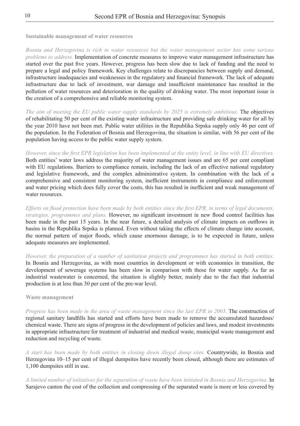**Sustainable management of water resources** 

*Bosnia and Herzegovina is rich in water resources but the water management sector has some serious problems to address.* Implementation of concrete measures to improve water management infrastructure has started over the past five years. However, progress has been slow due to lack of funding and the need to prepare a legal and policy framework. Key challenges relate to discrepancies between supply and demand, infrastructure inadequacies and weaknesses in the regulatory and financial framework. The lack of adequate infrastructure due to lack of investment, war damage and insufficient maintenance has resulted in the pollution of water resources and deterioration in the quality of drinking water. The most important issue is the creation of a comprehensive and reliable monitoring system.

*The aim of meeting the EU public water supply standards by 2025 is extremely ambitious.* The objectives of rehabilitating 50 per cent of the existing water infrastructure and providing safe drinking water for all by the year 2010 have not been met. Public water utilities in the Republika Srpska supply only 46 per cent of the population. In the Federation of Bosnia and Herzegovina, the situation is similar, with 56 per cent of the population having access to the public water supply system.

#### *However, since the first EPR legislation has been implemented at the entity level, in line with EU directives.*

Both entities' water laws address the majority of water management issues and are 65 per cent compliant with EU regulations. Barriers to compliance remain, including the lack of an effective national regulatory and legislative framework, and the complex administrative system. In combination with the lack of a comprehensive and consistent monitoring system, inefficient instruments in compliance and enforcement and water pricing which does fully cover the costs, this has resulted in inefficient and weak management of water resources.

*Efforts on flood protection have been made by both entities since the first EPR, in terms of legal documents, strategies, programmes and plans.* However, no significant investment in new flood control facilities has been made in the past 15 years. In the near future, a detailed analysis of climate impacts on outflows in basins in the Republika Srpska is planned. Even without taking the effects of climate change into account, the normal pattern of major floods, which cause enormous damage, is to be expected in future, unless adequate measures are implemented.

*However, the preparation of a number of sanitation projects and programmes has started in both entities.*  In Bosnia and Herzegovina, as with most countries in development or with economies in transition, the development of sewerage systems has been slow in comparison with those for water supply. As far as industrial wastewater is concerned, the situation is slightly better, mainly due to the fact that industrial production is at less than 30 per cent of the pre-war level.

#### **Waste management**

*Progress has been made in the area of waste management since the last EPR in 2003.* The construction of regional sanitary landfills has started and efforts have been made to remove the accumulated hazardous/ chemical waste. There are signs of progress in the development of policies and laws, and modest investments in appropriate infrastructure for treatment of industrial and medical waste, municipal waste management and reduction and recycling of waste.

*A start has been made by both entities in closing down illegal dump sites.* Countrywide, in Bosnia and Herzegovina 10–15 per cent of illegal dumpsites have recently been closed, although there are estimates of 1,100 dumpsites still in use.

*A limited number of initiatives for the separation of waste have been initiated in Bosnia and Herzegovina.* In Sarajevo canton the cost of the collection and compressing of the separated waste is more or less covered by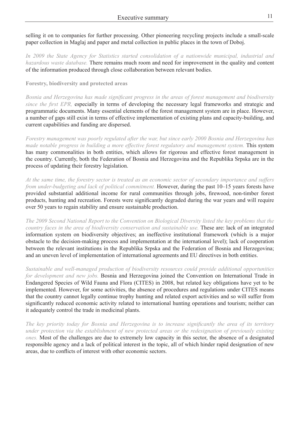selling it on to companies for further processing. Other pioneering recycling projects include a small-scale paper collection in Maglaj and paper and metal collection in public places in the town of Doboj.

*In 2009 the State Agency for Statistics started consolidation of a nationwide municipal, industrial and hazardous waste database.* There remains much room and need for improvement in the quality and content of the information produced through close collaboration between relevant bodies.

**Forestry, biodiversity and protected areas** 

*Bosnia and Herzegovina has made significant progress in the areas of forest management and biodiversity since the first EPR,* especially in terms of developing the necessary legal frameworks and strategic and programmatic documents. Many essential elements of the forest management system are in place. However, a number of gaps still exist in terms of effective implementation of existing plans and capacity-building, and current capabilities and funding are dispersed.

*Forestry management was poorly regulated after the war, but since early 2000 Bosnia and Herzegovina has made notable progress in building a more effective forest regulatory and management system.* This system has many commonalities in both entities, which allows for rigorous and effective forest management in the country. Currently, both the Federation of Bosnia and Herzegovina and the Republika Srpska are in the process of updating their forestry legislation.

*At the same time, the forestry sector is treated as an economic sector of secondary importance and suffers from under-budgeting and lack of political commitment.* However, during the past 10–15 years forests have provided substantial additional income for rural communities through jobs, firewood, non-timber forest products, hunting and recreation. Forests were significantly degraded during the war years and will require over 50 years to regain stability and ensure sustainable production.

*The 2009 Second National Report to the Convention on Biological Diversity listed the key problems that the country faces in the area of biodiversity conservation and sustainable use.* These are: lack of an integrated information system on biodiversity objectives; an ineffective institutional framework (which is a major obstacle to the decision-making process and implementation at the international level); lack of cooperation between the relevant institutions in the Republika Srpska and the Federation of Bosnia and Herzegovina; and an uneven level of implementation of international agreements and EU directives in both entities.

*Sustainable and well-managed production of biodiversity resources could provide additional opportunities for development and new jobs.* Bosnia and Herzegovina joined the Convention on International Trade in Endangered Species of Wild Fauna and Flora (CITES) in 2008, but related key obligations have yet to be implemented. However, for some activities, the absence of procedures and regulations under CITES means that the country cannot legally continue trophy hunting and related export activities and so will suffer from significantly reduced economic activity related to international hunting operations and tourism; neither can it adequately control the trade in medicinal plants.

*The key priority today for Bosnia and Herzegovina is to increase significantly the area of its territory under protection via the establishment of new protected areas or the redesignation of previously existing ones.* Most of the challenges are due to extremely low capacity in this sector, the absence of a designated responsible agency and a lack of political interest in the topic, all of which hinder rapid designation of new areas, due to conflicts of interest with other economic sectors.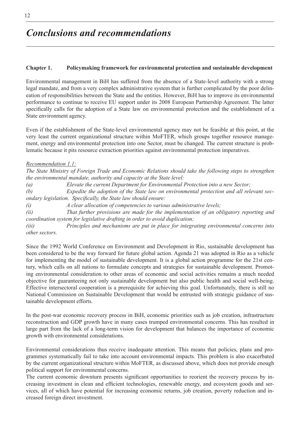#### **Chapter 1. Policymaking framework for environmental protection and sustainable development**

Environmental management in BiH has suffered from the absence of a State-level authority with a strong legal mandate, and from a very complex administrative system that is further complicated by the poor delineation of responsibilities between the State and the entities. However, BiH has to improve its environmental performance to continue to receive EU support under its 2008 European Partnership Agreement. The latter specifically calls for the adoption of a State law on environmental protection and the establishment of a State environment agency.

Even if the establishment of the State-level environmental agency may not be feasible at this point, at the very least the current organizational structure within MoFTER, which groups together resource management, energy and environmental protection into one Sector, must be changed. The current structure is problematic because it pits resource extraction priorities against environmental protection imperatives.

#### *Recommendation 1.1:*

*The State Ministry of Foreign Trade and Economic Relations should take the following steps to strengthen the environmental mandate, authority and capacity at the State level:*

*(a) Elevate the current Department for Environmental Protection into a new Sector;* 

*(b) Expedite the adoption of the State law on environmental protection and all relevant secondary legislation. Specifically, the State law should ensure:*

*(i) A clear allocation of competencies to various administrative levels;*

*(ii) That further provisions are made for the implementation of an obligatory reporting and coordination system for legislative drafting in order to avoid duplication;*

*(iii) Principles and mechanisms are put in place for integrating environmental concerns into other sectors.*

Since the 1992 World Conference on Environment and Development in Rio, sustainable development has been considered to be the way forward for future global action. Agenda 21 was adopted in Rio as a vehicle for implementing the model of sustainable development. It is a global action programme for the 21st century, which calls on all nations to formulate concepts and strategies for sustainable development. Promoting environmental consideration to other areas of economic and social activities remains a much needed objective for guaranteeing not only sustainable development but also public health and social well-being. Effective intersectoral cooperation is a prerequisite for achieving this goal. Unfortunately, there is still no National Commission on Sustainable Development that would be entrusted with strategic guidance of sustainable development efforts.

In the post-war economic recovery process in BiH, economic priorities such as job creation, infrastructure reconstruction and GDP growth have in many cases trumped environmental concerns. This has resulted in large part from the lack of a long-term vision for development that balances the importance of economic growth with environmental considerations.

Environmental considerations thus receive inadequate attention. This means that policies, plans and programmes systematically fail to take into account environmental impacts. This problem is also exacerbated by the current organizational structure within MoFTER, as discussed above, which does not provide enough political support for environmental concerns.

The current economic downturn presents significant opportunities to reorient the recovery process by increasing investment in clean and efficient technologies, renewable energy, and ecosystem goods and services, all of which have potential for increasing economic returns, job creation, poverty reduction and increased foreign direct investment.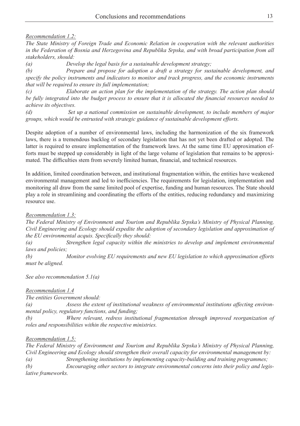#### *Recommendation 1.2:*

*The State Ministry of Foreign Trade and Economic Relation in cooperation with the relevant authorities in the Federation of Bosnia and Herzegovina and Republika Srpska, and with broad participation from all stakeholders, should:*

*(a) Develop the legal basis for a sustainable development strategy;*

*(b) Prepare and propose for adoption a draft a strategy for sustainable development, and specify the policy instruments and indicators to monitor and track progress, and the economic instruments that will be required to ensure its full implementation;*

*(c) Elaborate an action plan for the implementation of the strategy. The action plan should be fully integrated into the budget process to ensure that it is allocated the financial resources needed to achieve its objectives.*

*(d) Set up a national commission on sustainable development, to include members of major groups, which would be entrusted with strategic guidance of sustainable development efforts.*

Despite adoption of a number of environmental laws, including the harmonization of the six framework laws, there is a tremendous backlog of secondary legislation that has not yet been drafted or adopted. The latter is required to ensure implementation of the framework laws. At the same time EU approximation efforts must be stepped up considerably in light of the large volume of legislation that remains to be approximated. The difficulties stem from severely limited human, financial, and technical resources.

In addition, limited coordination between, and institutional fragmentation within, the entities have weakened environmental management and led to inefficiencies. The requirements for legislation, implementation and monitoring all draw from the same limited pool of expertise, funding and human resources. The State should play a role in streamlining and coordinating the efforts of the entities, reducing redundancy and maximizing resource use.

#### *Recommendation 1.3:*

*The Federal Ministry of Environment and Tourism and Republika Srpska's Ministry of Physical Planning, Civil Engineering and Ecology should expedite the adoption of secondary legislation and approximation of the EU environmental acquis. Specifically they should:*

*(a) Strengthen legal capacity within the ministries to develop and implement environmental laws and policies;*

*(b) Monitor evolving EU requirements and new EU legislation to which approximation efforts must be aligned.*

*See also recommendation 5.1(a)*

#### *Recommendation 1.4*

*The entities Government should:* 

*(a) Assess the extent of institutional weakness of environmental institutions affecting environmental policy, regulatory functions, and funding;*

*(b) Where relevant, redress institutional fragmentation through improved reorganization of roles and responsibilities within the respective ministries.*

### *Recommendation 1.5:*

*The Federal Ministry of Environment and Tourism and Republika Srpska's Ministry of Physical Planning, Civil Engineering and Ecology should strengthen their overall capacity for environmental management by: (a) Strengthening institutions by implementing capacity-building and training programmes; (b) Encouraging other sectors to integrate environmental concerns into their policy and legislative frameworks.*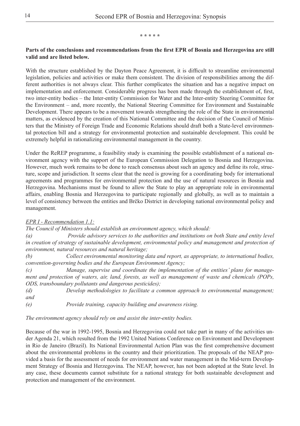#### **\* \* \* \* \***

#### **Parts of the conclusions and recommendations from the first EPR of Bosnia and Herzegovina are still valid and are listed below.**

With the structure established by the Dayton Peace Agreement, it is difficult to streamline environmental legislation, policies and activities or make them consistent. The division of responsibilities among the different authorities is not always clear. This further complicates the situation and has a negative impact on implementation and enforcement. Considerable progress has been made through the establishment of, first, two inter-entity bodies – the Inter-entity Commission for Water and the Inter-entity Steering Committee for the Environment – and, more recently, the National Steering Committee for Environment and Sustainable Development. There appears to be a movement towards strengthening the role of the State in environmental matters, as evidenced by the creation of this National Committee and the decision of the Council of Ministers that the Ministry of Foreign Trade and Economic Relations should draft both a State-level environmental protection bill and a strategy for environmental protection and sustainable development. This could be extremely helpful in rationalizing environmental management in the country.

Under the ReREP programme, a feasibility study is examining the possible establishment of a national environment agency with the support of the European Commission Delegation to Bosnia and Herzegovina. However, much work remains to be done to reach consensus about such an agency and define its role, structure, scope and jurisdiction. It seems clear that the need is growing for a coordinating body for international agreements and programmes for environmental protection and the use of natural resources in Bosnia and Herzegovina. Mechanisms must be found to allow the State to play an appropriate role in environmental affairs, enabling Bosnia and Herzegovina to participate regionally and globally, as well as to maintain a level of consistency between the entities and Brčko District in developing national environmental policy and management.

#### *EPR I - Recommendation 1.1:*

*The Council of Ministers should establish an environment agency, which should:*

*(a) Provide advisory services to the authorities and institutions on both State and entity level*  in creation of strategy of sustainable development, environmental policy and management and protection of *environment, natural resources and natural heritage;*

*(b) Collect environmental monitoring data and report, as appropriate, to international bodies, convention-governing bodies and the European Environment Agency;*

*(c) Manage, supervise and coordinate the implementation of the entities' plans for management and protection of waters, air, land, forests, as well as management of waste and chemicals (POPs, ODS, transboundary pollutants and dangerous pesticides);*

*(d) Develop methodologies to facilitate a common approach to environmental management; and* 

*(e) Provide training, capacity building and awareness rising.*

*The environment agency should rely on and assist the inter-entity bodies.* 

Because of the war in 1992-1995, Bosnia and Herzegovina could not take part in many of the activities under Agenda 21, which resulted from the 1992 United Nations Conference on Environment and Development in Rio de Janeiro (Brazil). Its National Environmental Action Plan was the first comprehensive document about the environmental problems in the country and their prioritization. The proposals of the NEAP provided a basis for the assessment of needs for environment and water management in the Mid-term Development Strategy of Bosnia and Herzegovina. The NEAP, however, has not been adopted at the State level. In any case, these documents cannot substitute for a national strategy for both sustainable development and protection and management of the environment.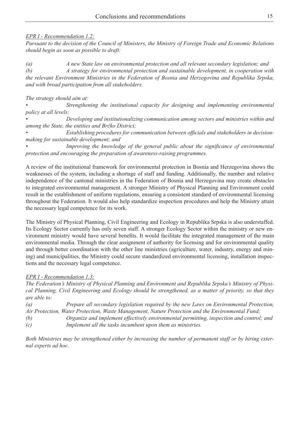## *EPR I - Recommendation 1.2:*

*Pursuant to the decision of the Council of Ministers, the Ministry of Foreign Trade and Economic Relations should begin as soon as possible to draft:*

*(a) A new State law on environmental protection and all relevant secondary legislation; and (b) A strategy for environmental protection and sustainable development, in cooperation with the relevant Environment Ministries in the Federation of Bosnia and Herzegovina and Republika Srpska, and with broad participation from all stakeholders.*

*The strategy should aim at:*

*• Strengthening the institutional capacity for designing and implementing environmental policy at all levels;*

*• Developing and institutionalizing communication among sectors and ministries within and among the State, the entities and Brčko District;*

*• Establishing procedures for communication between officials and stakeholders in decisionmaking for sustainable development; and*

*• Improving the knowledge of the general public about the significance of environmental protection and encouraging the preparation of awareness-raising programmes.*

A review of the institutional framework for environmental protection in Bosnia and Herzegovina shows the weaknesses of the system, including a shortage of staff and funding. Additionally, the number and relative independence of the cantonal ministries in the Federation of Bosnia and Herzegovina may create obstacles to integrated environmental management. A stronger Ministry of Physical Planning and Environment could result in the establishment of uniform regulations, ensuring a consistent standard of environmental licensing throughout the Federation. It would also help standardize inspection procedures and help the Ministry attain the necessary legal competence for its work.

The Ministry of Physical Planning, Civil Engineering and Ecology in Republika Srpska is also understaffed. Its Ecology Sector currently has only seven staff. A stronger Ecology Sector within the ministry or new environment ministry would have several benefits. It would facilitate the integrated management of the main environmental media. Through the clear assignment of authority for licensing and for environmental quality and through better coordination with the other line ministries (agriculture, water, industry, energy and mining) and municipalities, the Ministry could secure standardized environmental licensing, installation inspections and the necessary legal competence.

# *EPR I - Recommendation 1.3:*

*The Federation's Ministry of Physical Planning and Environment and Republika Srpska's Ministry of Physical Planning, Civil Engineering and Ecology should be strengthened, as a matter of priority, so that they are able to:*

*(a) Prepare all secondary legislation required by the new Laws on Environmental Protection, Air Protection, Water Protection, Waste Management, Nature Protection and the Environmental Fund;*

*(b) Organize and implement effectively environmental permitting, inspection and control; and (c) Implement all the tasks incumbent upon them as ministries.*

*Both Ministries may be strengthened either by increasing the number of permanent staff or by hiring external experts ad hoc.*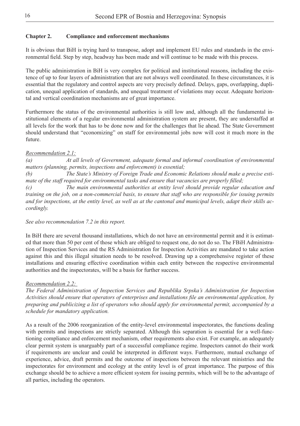#### **Chapter 2. Compliance and enforcement mechanisms**

It is obvious that BiH is trying hard to transpose, adopt and implement EU rules and standards in the environmental field. Step by step, headway has been made and will continue to be made with this process.

The public administration in BiH is very complex for political and institutional reasons, including the existence of up to four layers of administration that are not always well coordinated. In these circumstances, it is essential that the regulatory and control aspects are very precisely defined. Delays, gaps, overlapping, duplication, unequal application of standards, and unequal treatment of violations may occur. Adequate horizontal and vertical coordination mechanisms are of great importance.

Furthermore the status of the environmental authorities is still low and, although all the fundamental institutional elements of a regular environmental administration system are present, they are understaffed at all levels for the work that has to be done now and for the challenges that lie ahead. The State Government should understand that "economizing" on staff for environmental jobs now will cost it much more in the future.

#### *Recommendation 2.1:*

*(a) At all levels of Government, adequate formal and informal coordination of environmental matters (planning, permits, inspections and enforcement) is essential;* 

*(b) The State's Ministry of Foreign Trade and Economic Relations should make a precise estimate of the staff required for environmental tasks and ensure that vacancies are properly filled;* 

*(c) The main environmental authorities at entity level should provide regular education and training on the job, on a non-commercial basis, to ensure that staff who are responsible for issuing permits and for inspections, at the entity level, as well as at the cantonal and municipal levels, adapt their skills accordingly.*

#### *See also recommendation 7.2 in this report.*

In BiH there are several thousand installations, which do not have an environmental permit and it is estimated that more than 50 per cent of those which are obliged to request one, do not do so. The FBiH Administration of Inspection Services and the RS Administration for Inspection Activities are mandated to take action against this and this illegal situation needs to be resolved. Drawing up a comprehensive register of these installations and ensuring effective coordination within each entity between the respective environmental authorities and the inspectorates, will be a basis for further success.

#### *Recommendation 2.2:*

*The Federal Administration of Inspection Services and Republika Srpska's Administration for Inspection Activities should ensure that operators of enterprises and installations file an environmental application, by preparing and publicizing a list of operators who should apply for environmental permit, accompanied by a schedule for mandatory application.*

As a result of the 2006 reorganization of the entity-level environmental inspectorates, the functions dealing with permits and inspections are strictly separated. Although this separation is essential for a well-functioning compliance and enforcement mechanism, other requirements also exist. For example, an adequately clear permit system is unarguably part of a successful compliance regime. Inspectors cannot do their work if requirements are unclear and could be interpreted in different ways. Furthermore, mutual exchange of experience, advice, draft permits and the outcome of inspections between the relevant ministries and the inspectorates for environment and ecology at the entity level is of great importance. The purpose of this exchange should be to achieve a more efficient system for issuing permits, which will be to the advantage of all parties, including the operators.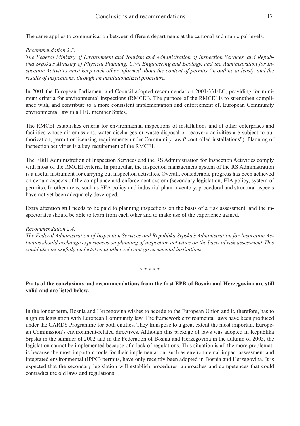The same applies to communication between different departments at the cantonal and municipal levels.

#### *Recommendation 2.3:*

*The Federal Ministry of Environment and Tourism and Administration of Inspection Services, and Republika Srpska's Ministry of Physical Planning, Civil Engineering and Ecology, and the Administration for Inspection Activities must keep each other informed about the content of permits (in outline at least), and the results of inspections, through an institutionalized procedure.*

In 2001 the European Parliament and Council adopted recommendation 2001/331/EC, providing for minimum criteria for environmental inspections (RMCEI). The purpose of the RMCEI is to strengthen compliance with, and contribute to a more consistent implementation and enforcement of, European Community environmental law in all EU member States.

The RMCEI establishes criteria for environmental inspections of installations and of other enterprises and facilities whose air emissions, water discharges or waste disposal or recovery activities are subject to authorization, permit or licensing requirements under Community law ("controlled installations"). Planning of inspection activities is a key requirement of the RMCEI.

The FBiH Administration of Inspection Services and the RS Administration for Inspection Activities comply with most of the RMCEI criteria. In particular, the inspection management system of the RS Administration is a useful instrument for carrying out inspection activities. Overall, considerable progress has been achieved on certain aspects of the compliance and enforcement system (secondary legislation, EIA policy, system of permits). In other areas, such as SEA policy and industrial plant inventory, procedural and structural aspects have not yet been adequately developed.

Extra attention still needs to be paid to planning inspections on the basis of a risk assessment, and the inspectorates should be able to learn from each other and to make use of the experience gained.

#### *Recommendation 2.4:*

*The Federal Administration of Inspection Services and Republika Srpska's Administration for Inspection Activities should exchange experiences on planning of inspection activities on the basis of risk assessment;This could also be usefully undertaken at other relevant governmental institutions.*

**\* \* \* \* \***

#### **Parts of the conclusions and recommendations from the first EPR of Bosnia and Herzegovina are still valid and are listed below.**

In the longer term, Bosnia and Herzegovina wishes to accede to the European Union and it, therefore, has to align its legislation with European Community law. The framework environmental laws have been produced under the CARDS Programme for both entities. They transpose to a great extent the most important European Commission's environment-related directives. Although this package of laws was adopted in Republika Srpska in the summer of 2002 and in the Federation of Bosnia and Herzegovina in the autumn of 2003, the legislation cannot be implemented because of a lack of regulations. This situation is all the more problematic because the most important tools for their implementation, such as environmental impact assessment and integrated environmental (IPPC) permits, have only recently been adopted in Bosnia and Herzegovina. It is expected that the secondary legislation will establish procedures, approaches and competences that could contradict the old laws and regulations.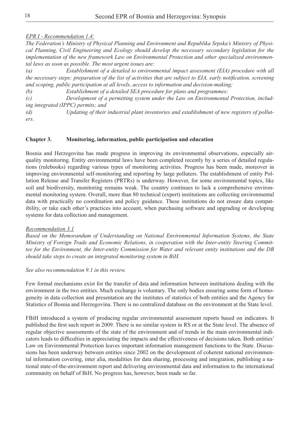#### *EPR I - Recommendation 1.4:*

*The Federation's Ministry of Physical Planning and Environment and Republika Srpska's Ministry of Physical Planning, Civil Engineering and Ecology should develop the necessary secondary legislation for the implementation of the new framework Law on Environmental Protection and other specialized environmental laws as soon as possible. The most urgent issues are:*

*(a) Establishment of a detailed to environmental impact assessment (EIA) procedure with all the necessary steps: preparation of the list of activities that are subject to EIA, early notification, screening and scoping, public participation at all levels, access to information and decision-making;*

*(b) Establishment of a detailed SEA procedure for plans and programmes;*

*(c) Development of a permitting system under the Law on Environmental Protection, including integrated (IPPC) permits; and* 

*(d) Updating of their industrial plant inventories and establishment of new registers of polluters.*

#### **Chapter 3. Monitoring, information, public participation and education**

Bosnia and Herzegovina has made progress in improving its environmental observations, especially airquality monitoring. Entity environmental laws have been completed recently by a series of detailed regulations (rulebooks) regarding various types of monitoring activities. Progress has been made, moreover in improving environmental self-monitoring and reporting by large polluters. The establishment of entity Pollution Release and Transfer Registers (PRTRs) is underway. However, for some environmental topics, like soil and biodiversity, monitoring remains weak. The country continues to lack a comprehensive environmental monitoring system. Overall, more than 80 technical (expert) institutions are collecting environmental data with practically no coordination and policy guidance. These institutions do not ensure data compatibility, or take each other's practices into account, when purchasing software and upgrading or developing systems for data collection and management.

#### *Recommendation 3.1*

*Based on the Memorandum of Understanding on National Environmental Information Systems, the State Ministry of Foreign Trade and Economic Relations, in cooperation with the Inter-entity Steering Committee for the Environment, the Inter-entity Commission for Water and relevant entity institutions and the DB should take steps to create an integrated monitoring system in BiH.* 

#### *See also recommendation 9.1 in this review.*

Few formal mechanisms exist for the transfer of data and information between institutions dealing with the environment in the two entities. Much exchange is voluntary. The only bodies ensuring some form of homogeneity in data collection and presentation are the institutes of statistics of both entities and the Agency for Statistics of Bosnia and Herzegovina. There is no centralized database on the environment at the State level.

FBiH introduced a system of producing regular environmental assessment reports based on indicators. It published the first such report in 2009. There is no similar system in RS or at the State level. The absence of regular objective assessments of the state of the environment and of trends in the main environmental indicators leads to difficulties in appreciating the impacts and the effectiveness of decisions taken. Both entities' Law on Environmental Protection leaves important information management functions to the State. Discussions has been underway between entities since 2002 on the development of coherent national environmental information covering, inter alia, modalities for data sharing, processing and integration, publishing a national state-of-the-environment report and delivering environmental data and information to the international community on behalf of BiH. No progress has, however, been made so far.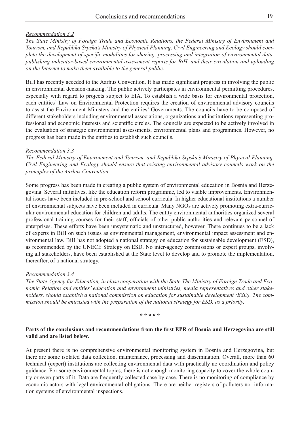#### *Recommendation 3.2*

*The State Ministry of Foreign Trade and Economic Relations, the Federal Ministry of Environment and Tourism, and Republika Srpska's Ministry of Physical Planning, Civil Engineering and Ecology should complete the development of specific modalities for sharing, processing and integration of environmental data, publishing indicator-based environmental assessment reports for BiH, and their circulation and uploading on the Internet to make them available to the general public.*

BiH has recently acceded to the Aarhus Convention. It has made significant progress in involving the public in environmental decision-making. The public actively participates in environmental permitting procedures, especially with regard to projects subject to EIA. To establish a wide basis for environmental protection, each entities' Law on Environmental Protection requires the creation of environmental advisory councils to assist the Environment Ministers and the entities' Governments. The councils have to be composed of different stakeholders including environmental associations, organizations and institutions representing professional and economic interests and scientific circles. The councils are expected to be actively involved in the evaluation of strategic environmental assessments, environmental plans and programmes. However, no progress has been made in the entities to establish such councils.

#### *Recommendation 3.3*

*The Federal Ministry of Environment and Tourism, and Republika Srpska's Ministry of Physical Planning, Civil Engineering and Ecology should ensure that existing environmental advisory councils work on the principles of the Aarhus Convention.* 

Some progress has been made in creating a public system of environmental education in Bosnia and Herzegovina. Several initiatives, like the education reform programme, led to visible improvements. Environmental issues have been included in pre-school and school curricula. In higher educational institutions a number of environmental subjects have been included in curricula. Many NGOs are actively promoting extra-curricular environmental education for children and adults. The entity environmental authorities organized several professional training courses for their staff, officials of other public authorities and relevant personnel of enterprises. These efforts have been unsystematic and unstructured, however. There continues to be a lack of experts in BiH on such issues as environmental management, environmental impact assessment and environmental law. BiH has not adopted a national strategy on education for sustainable development (ESD), as recommended by the UNECE Strategy on ESD. No inter-agency commissions or expert groups, involving all stakeholders, have been established at the State level to develop and to promote the implementation, thereafter, of a national strategy.

#### *Recommendation 3.4*

*The State Agency for Education, in close cooperation with the State The Ministry of Foreign Trade and Economic Relation and entities' education and environment ministries, media representatives and other stakeholders, should establish a national commission on education for sustainable development (ESD). The commission should be entrusted with the preparation of the national strategy for ESD, as a priority.*

#### **\* \* \* \* \***

#### **Parts of the conclusions and recommendations from the first EPR of Bosnia and Herzegovina are still valid and are listed below.**

At present there is no comprehensive environmental monitoring system in Bosnia and Herzegovina, but there are some isolated data collection, maintenance, processing and dissemination. Overall, more than 60 technical (expert) institutions are collecting environmental data with practically no coordination and policy guidance. For some environmental topics, there is not enough monitoring capacity to cover the whole country or even parts of it. Data are frequently collected case by case. There is no monitoring of compliance by economic actors with legal environmental obligations. There are neither registers of polluters nor information systems of environmental inspections.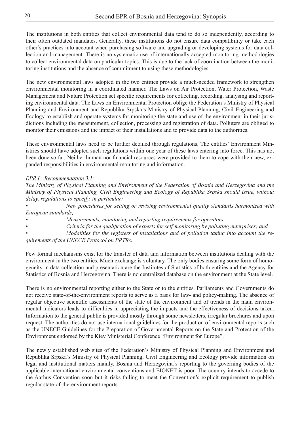The institutions in both entities that collect environmental data tend to do so independently, according to their often outdated mandates. Generally, these institutions do not ensure data compatibility or take each other's practices into account when purchasing software and upgrading or developing systems for data collection and management. There is no systematic use of internationally accepted monitoring methodologies to collect environmental data on particular topics. This is due to the lack of coordination between the monitoring institutions and the absence of commitment to using these methodologies.

The new environmental laws adopted in the two entities provide a much-needed framework to strengthen environmental monitoring in a coordinated manner. The Laws on Air Protection, Water Protection, Waste Management and Nature Protection set specific requirements for collecting, recording, analysing and reporting environmental data. The Laws on Environmental Protection oblige the Federation's Ministry of Physical Planning and Environment and Republika Srpska's Ministry of Physical Planning, Civil Engineering and Ecology to establish and operate systems for monitoring the state and use of the environment in their jurisdictions including the measurement, collection, processing and registration of data. Polluters are obliged to monitor their emissions and the impact of their installations and to provide data to the authorities.

These environmental laws need to be further detailed through regulations. The entities' Environment Ministries should have adopted such regulations within one year of these laws entering into force. This has not been done so far. Neither human nor financial resources were provided to them to cope with their new, expanded responsibilities in environmental monitoring and information.

#### *EPR I - Recommendation 3.1:*

*The Ministry of Physical Planning and Environment of the Federation of Bosnia and Herzegovina and the Ministry of Physical Planning, Civil Engineering and Ecology of Republika Srpska should issue, without delay, regulations to specify, in particular:*

*• New procedures for setting or revising environmental quality standards harmonized with European standards;*

*• Measurements, monitoring and reporting requirements for operators;*

*• Criteria for the qualification of experts for self-monitoring by polluting enterprises; and*

*• Modalities for the registers of installations and of pollution taking into account the requirements of the UNECE Protocol on PRTRs.*

Few formal mechanisms exist for the transfer of data and information between institutions dealing with the environment in the two entities. Much exchange is voluntary. The only bodies ensuring some form of homogeneity in data collection and presentation are the Institutes of Statistics of both entities and the Agency for Statistics of Bosnia and Herzegovina. There is no centralized database on the environment at the State level.

There is no environmental reporting either to the State or to the entities. Parliaments and Governments do not receive state-of-the-environment reports to serve as a basis for law- and policy-making. The absence of regular objective scientific assessments of the state of the environment and of trends in the main environmental indicators leads to difficulties in appreciating the impacts and the effectiveness of decisions taken. Information to the general public is provided mostly through some newsletters, irregular brochures and upon request. The authorities do not use international guidelines for the production of environmental reports such as the UNECE Guidelines for the Preparation of Governmental Reports on the State and Protection of the Environment endorsed by the Kiev Ministerial Conference "Environment for Europe".

The newly established web sites of the Federation's Ministry of Physical Planning and Environment and Republika Srpska's Ministry of Physical Planning, Civil Engineering and Ecology provide information on legal and institutional matters mainly. Bosnia and Herzegovina's reporting to the governing bodies of the applicable international environmental conventions and EIONET is poor. The country intends to accede to the Aarhus Convention soon but it risks failing to meet the Convention's explicit requirement to publish regular state-of-the-environment reports.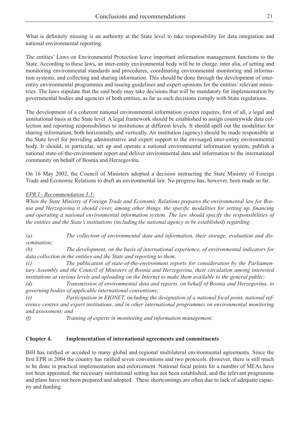What is definitely missing is an authority at the State level to take responsibility for data integration and national environmental reporting.

The entities' Laws on Environmental Protection leave important information management functions to the State. According to these laws, an inter-entity environmental body will be in charge, inter alia, of setting and monitoring environmental standards and procedures, coordinating environmental monitoring and information systems, and collecting and sharing information. This should be done through the development of interentity environmental programmes and issuing guidelines and expert opinions for the entities' relevant ministries. The laws stipulate that the said body may take decisions that will be mandatory for implementation by governmental bodies and agencies of both entities, as far as such decisions comply with State regulations.

The development of a coherent national environmental information system requires, first of all, a legal and institutional basis at the State level. A legal framework should be established to assign countrywide data collection and reporting responsibilities to institutions at different levels. It should spell out the modalities for sharing information, both horizontally and vertically. An institution (agency) should be made responsible at the State level for providing administrative and expert support to the envisaged inter-entity environmental body. It should, in particular, set up and operate a national environmental information system, publish a national state-of-the-environment report and deliver environmental data and information to the international community on behalf of Bosnia and Herzegovina.

On 16 May 2002, the Council of Ministers adopted a decision instructing the State Ministry of Foreign Trade and Economic Relations to draft an environmental law. No progress has, however, been made so far.

### *EPR I - Recommendation 3.3:*

*When the State Ministry of Foreign Trade and Economic Relations prepares the environmental law for Bosnia and Herzegovina it should cover, among other things, the specific modalities for setting up, financing and operating a national environmental information system. The law should specify the responsibilities of the entities and the State's institutions (including the national agency to be established) regarding:*

*(a) The collection of environmental data and information, their storage, evaluation and dissemination;*

*(b) The development, on the basis of international experience, of environmental indicators for data collection in the entities and the State and reporting to them;*

*(c) The publication of state-of-the-environment reports for consideration by the Parliamentary Assembly and the Council of Ministers of Bosnia and Herzegovina, their circulation among interested institutions at various levels and uploading on the Internet to make them available to the general public;*

*(d) Transmission of environmental data and reports, on behalf of Bosnia and Herzegovina, to governing bodies of applicable international conventions;*

*(e) Participation in EIONET, including the designation of a national focal point, national reference centres and expert institutions, and in other international programmes on environmental monitoring and assessment; and*

*(f) Training of experts in monitoring and information management.*

### **Chapter 4. Implementation of international agreements and commitments**

BiH has ratified or acceded to many global and regional multilateral environmental agreements. Since the first EPR in 2004 the country has ratified seven conventions and two protocols. However, there is still much to be done in practical implementation and enforcement. National focal points for a number of MEAs have not been appointed, the necessary institutional setting has not been established, and the relevant programme and plans have not been prepared and adopted. These shortcomings are often due to lack of adequate capacity and funding.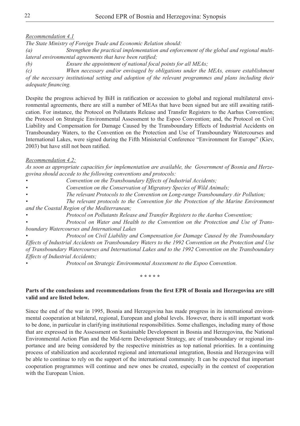#### *Recommendation 4.1*

*The State Ministry of Foreign Trade and Economic Relation should:*

*(a) Strengthen the practical implementation and enforcement of the global and regional multilateral environmental agreements that have been ratified;* 

*(b) Ensure the appointment of national focal points for all MEAs;*

*(c) When necessary and/or envisaged by obligations under the MEAs, ensure establishment of the necessary institutional setting and adoption of the relevant programmes and plans including their adequate financing.*

Despite the progress achieved by BiH in ratification or accession to global and regional multilateral environmental agreements, there are still a number of MEAs that have been signed but are still awaiting ratification. For instance, the Protocol on Pollutants Release and Transfer Registers to the Aarhus Convention; the Protocol on Strategic Environmental Assessment to the Espoo Convention; and, the Protocol on Civil Liability and Compensation for Damage Caused by the Transboundary Effects of Industrial Accidents on Transboundary Waters, to the Convention on the Protection and Use of Transboundary Watercourses and International Lakes, were signed during the Fifth Ministerial Conference "Environment for Europe" (Kiev, 2003) but have still not been ratified.

#### *Recommendation 4.2:*

*As soon as appropriate capacities for implementation are available, the Government of Bosnia and Herzegovina should accede to the following conventions and protocols:*

*• Convention on the Transboundary Effects of Industrial Accidents;*

*• Convention on the Conservation of Migratory Species of Wild Animals;* 

- *• The relevant Protocols to the Convention on Long-range Transboundary Air Pollution;*
- *• The relevant protocols to the Convention for the Protection of the Marine Environment and the Coastal Region of the Mediterranean;*
- *• Protocol on Pollutants Release and Transfer Registers to the Aarhus Convention;*

*• Protocol on Water and Health to the Convention on the Protection and Use of Transboundary Watercourses and International Lakes* 

*• Protocol on Civil Liability and Compensation for Damage Caused by the Transboundary Effects of Industrial Accidents on Transboundary Waters to the 1992 Convention on the Protection and Use of Transboundary Watercourses and International Lakes and to the 1992 Convention on the Transboundary Effects of Industrial Accidents;*

*• Protocol on Strategic Environmental Assessment to the Espoo Convention.*

**\* \* \* \* \***

#### **Parts of the conclusions and recommendations from the first EPR of Bosnia and Herzegovina are still valid and are listed below.**

Since the end of the war in 1995, Bosnia and Herzegovina has made progress in its international environmental cooperation at bilateral, regional, European and global levels. However, there is still important work to be done, in particular in clarifying institutional responsibilities. Some challenges, including many of those that are expressed in the Assessment on Sustainable Development in Bosnia and Herzegovina, the National Environmental Action Plan and the Mid-term Development Strategy, are of transboundary or regional importance and are being considered by the respective ministries as top national priorities. In a continuing process of stabilization and accelerated regional and international integration, Bosnia and Herzegovina will be able to continue to rely on the support of the international community. It can be expected that important cooperation programmes will continue and new ones be created, especially in the context of cooperation with the European Union.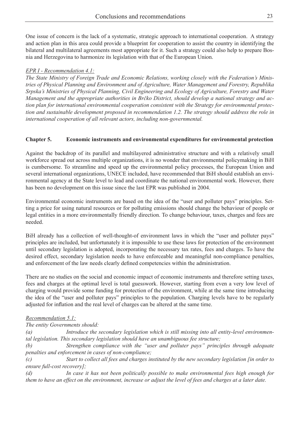One issue of concern is the lack of a systematic, strategic approach to international cooperation. A strategy and action plan in this area could provide a blueprint for cooperation to assist the country in identifying the bilateral and multilateral agreements most appropriate for it. Such a strategy could also help to prepare Bosnia and Herzegovina to harmonize its legislation with that of the European Union.

### *EPR I - Recommendation 4.1:*

*The State Ministry of Foreign Trade and Economic Relations, working closely with the Federation's Ministries of Physical Planning and Environment and of Agriculture, Water Management and Forestry, Republika Srpska's Ministries of Physical Planning, Civil Engineering and Ecology of Agriculture, Forestry and Water Management and the appropriate authorities in Brčko District, should develop a national strategy and action plan for international environmental cooperation consistent with the Strategy for environmental protection and sustainable development proposed in recommendation 1.2. The strategy should address the role in international cooperation of all relevant actors, including non-governmental.*

# **Chapter 5. Economic instruments and environmental expenditures for environmental protection**

Against the backdrop of its parallel and multilayered administrative structure and with a relatively small workforce spread out across multiple organizations, it is no wonder that environmental policymaking in BiH is cumbersome. To streamline and speed up the environmental policy processes, the European Union and several international organizations, UNECE included, have recommended that BiH should establish an environmental agency at the State level to lead and coordinate the national environmental work. However, there has been no development on this issue since the last EPR was published in 2004.

Environmental economic instruments are based on the idea of the "user and polluter pays" principles. Setting a price for using natural resources or for polluting emissions should change the behaviour of people or legal entities in a more environmentally friendly direction. To change behaviour, taxes, charges and fees are needed.

BiH already has a collection of well-thought-of environment laws in which the "user and polluter pays" principles are included, but unfortunately it is impossible to use these laws for protection of the environment until secondary legislation is adopted, incorporating the necessary tax rates, fees and charges. To have the desired effect, secondary legislation needs to have enforceable and meaningful non-compliance penalties, and enforcement of the law needs clearly defined competencies within the administration.

There are no studies on the social and economic impact of economic instruments and therefore setting taxes, fees and charges at the optimal level is total guesswork. However, starting from even a very low level of charging would provide some funding for protection of the environment, while at the same time introducing the idea of the "user and polluter pays" principles to the population. Charging levels have to be regularly adjusted for inflation and the real level of charges can be altered at the same time.

### *Recommendation 5.1:*

*The entity Governments should:*

*(a) Introduce the secondary legislation which is still missing into all entity-level environmental legislation. This secondary legislation should have an unambiguous fee structure;* 

*(b) Strengthen compliance with the "user and polluter pays" principles through adequate penalties and enforcement in cases of non-compliance;* 

*(c) Start to collect all fees and charges instituted by the new secondary legislation [in order to ensure full-cost recovery];* 

*(d) In case it has not been politically possible to make environmental fees high enough for them to have an effect on the environment, increase or adjust the level of fees and charges at a later date.*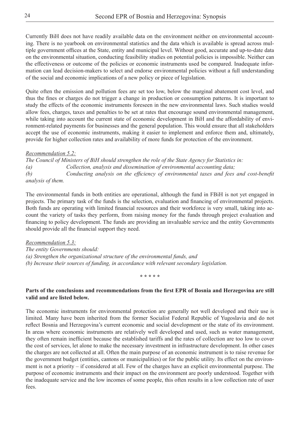Currently BiH does not have readily available data on the environment neither on environmental accounting. There is no yearbook on environmental statistics and the data which is available is spread across multiple government offices at the State, entity and municipal level. Without good, accurate and up-to-date data on the environmental situation, conducting feasibility studies on potential policies is impossible. Neither can the effectiveness or outcome of the policies or economic instruments used be compared. Inadequate information can lead decision-makers to select and endorse environmental policies without a full understanding of the social and economic implications of a new policy or piece of legislation.

Quite often the emission and pollution fees are set too low, below the marginal abatement cost level, and thus the fines or charges do not trigger a change in production or consumption patterns. It is important to study the effects of the economic instruments foreseen in the new environmental laws. Such studies would allow fees, charges, taxes and penalties to be set at rates that encourage sound environmental management, while taking into account the current state of economic development in BiH and the affordability of environment-related payments for businesses and the general population. This would ensure that all stakeholders accept the use of economic instruments, making it easier to implement and enforce them and, ultimately, provide for higher collection rates and availability of more funds for protection of the environment.

#### *Recommendation 5.2:*

*The Council of Ministers of BiH should strengthen the role of the State Agency for Statistics in: (a) Collection, analysis and dissemination of environmental accounting data; (b) Conducting analysis on the efficiency of environmental taxes and fees and cost-benefit analysis of them.*

The environmental funds in both entities are operational, although the fund in FBiH is not yet engaged in projects. The primary task of the funds is the selection, evaluation and financing of environmental projects. Both funds are operating with limited financial resources and their workforce is very small, taking into account the variety of tasks they perform, from raising money for the funds through project evaluation and financing to policy development. The funds are providing an invaluable service and the entity Governments should provide all the financial support they need.

*Recommendation 5.3: The entity Governments should: (a) Strengthen the organizational structure of the environmental funds, and (b) Increase their sources of funding, in accordance with relevant secondary legislation.*

**\* \* \* \* \***

#### **Parts of the conclusions and recommendations from the first EPR of Bosnia and Herzegovina are still valid and are listed below.**

The economic instruments for environmental protection are generally not well developed and their use is limited. Many have been inherited from the former Socialist Federal Republic of Yugoslavia and do not reflect Bosnia and Herzegovina's current economic and social development or the state of its environment. In areas where economic instruments are relatively well developed and used, such as water management, they often remain inefficient because the established tariffs and the rates of collection are too low to cover the cost of services, let alone to make the necessary investment in infrastructure development. In other cases the charges are not collected at all. Often the main purpose of an economic instrument is to raise revenue for the government budget (entities, cantons or municipalities) or for the public utility. Its effect on the environment is not a priority – if considered at all. Few of the charges have an explicit environmental purpose. The purpose of economic instruments and their impact on the environment are poorly understood. Together with the inadequate service and the low incomes of some people, this often results in a low collection rate of user fees.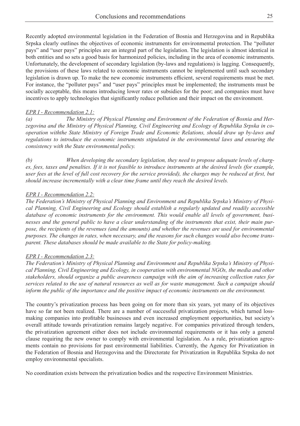Recently adopted environmental legislation in the Federation of Bosnia and Herzegovina and in Republika Srpska clearly outlines the objectives of economic instruments for environmental protection. The "polluter pays" and "user pays" principles are an integral part of the legislation. The legislation is almost identical in both entities and so sets a good basis for harmonized policies, including in the area of economic instruments. Unfortunately, the development of secondary legislation (by-laws and regulations) is lagging. Consequently, the provisions of these laws related to economic instruments cannot be implemented until such secondary legislation is drawn up. To make the new economic instruments efficient, several requirements must be met. For instance, the "polluter pays" and "user pays" principles must be implemented; the instruments must be socially acceptable, this means introducing lower rates or subsidies for the poor; and companies must have incentives to apply technologies that significantly reduce pollution and their impact on the environment.

#### *EPR I - Recommendation 2.1:*

*(a) The Ministry of Physical Planning and Environment of the Federation of Bosnia and Herzegovina and the Ministry of Physical Planning, Civil Engineering and Ecology of Republika Srpska in cooperation withthe State Ministry of Foreign Trade and Economic Relations, should draw up by-laws and regulations to introduce the economic instruments stipulated in the environmental laws and ensuring the consistency with the State environmental policy.* 

*(b) When developing the secondary legislation, they need to propose adequate levels of charges, fees, taxes and penalties. If it is not feasible to introduce instruments at the desired levels (for example, user fees at the level of full cost recovery for the service provided), the charges may be reduced at first, but should increase incrementally with a clear time frame until they reach the desired levels.* 

#### *EPR I - Recommendation 2.2:*

*The Federation's Ministry of Physical Planning and Environment and Republika Srpska's Ministry of Physical Planning, Civil Engineering and Ecology should establish a regularly updated and readily accessible database of economic instruments for the environment. This would enable all levels of government, businesses and the general public to have a clear understanding of the instruments that exist, their main purpose, the recipients of the revenues (and the amounts) and whether the revenues are used for environmental purposes. The changes in rates, when necessary, and the reasons for such changes would also become transparent. These databases should be made available to the State for policy-making.*

#### *EPR I - Recommendation 2.3:*

*The Federation's Ministry of Physical Planning and Environment and Republika Srpska's Ministry of Physical Planning, Civil Engineering and Ecology, in cooperation with environmental NGOs, the media and other stakeholders, should organize a public awareness campaign with the aim of increasing collection rates for services related to the use of natural resources as well as for waste management. Such a campaign should inform the public of the importance and the positive impact of economic instruments on the environment.*

The country's privatization process has been going on for more than six years, yet many of its objectives have so far not been realized. There are a number of successful privatization projects, which turned lossmaking companies into profitable businesses and even increased employment opportunities, but society's overall attitude towards privatization remains largely negative. For companies privatized through tenders, the privatization agreement either does not include environmental requirements or it has only a general clause requiring the new owner to comply with environmental legislation. As a rule, privatization agreements contain no provisions for past environmental liabilities. Currently, the Agency for Privatization in the Federation of Bosnia and Herzegovina and the Directorate for Privatization in Republika Srpska do not employ environmental specialists.

No coordination exists between the privatization bodies and the respective Environment Ministries.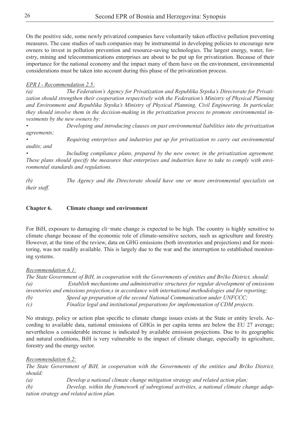On the positive side, some newly privatized companies have voluntarily taken effective pollution preventing measures. The case studies of such companies may be instrumental in developing policies to encourage new owners to invest in pollution prevention and resource-saving technologies. The largest energy, water, forestry, mining and telecommunications enterprises are about to be put up for privatization. Because of their importance for the national economy and the impact many of them have on the environment, environmental considerations must be taken into account during this phase of the privatization process.

# *EPR I - Recommendation 2.5:*

*(a) The Federation's Agency for Privatization and Republika Srpska's Directorate for Privatization should strengthen their cooperation respectively with the Federation's Ministry of Physical Planning and Environment and Republika Srpska's Ministry of Physical Planning, Civil Engineering. In particular, they should involve them in the decision-making in the privatization process to promote environmental investments by the new owners by:* 

*• Developing and introducing clauses on past environmental liabilities into the privatization agreements;*

*• Requiring enterprises and industries put up for privatization to carry out environmental audits; and*

*• Including compliance plans, prepared by the new owner, in the privatization agreement. These plans should specify the measures that enterprises and industries have to take to comply with environmental standards and regulations.*

*(b) The Agency and the Directorate should have one or more environmental specialists on their staff.*

#### **Chapter 6. Climate change and environment**

For BiH, exposure to damaging cli-mate change is expected to be high. The country is highly sensitive to climate change because of the economic role of climate-sensitive sectors, such as agriculture and forestry. However, at the time of the review, data on GHG emissions (both inventories and projections) and for monitoring, was not readily available. This is largely due to the war and the interruption to established monitoring systems.

#### *Recommendation 6.1:*

*The State Government of BiH, in cooperation with the Governments of entities and Brčko District, should: (a) Establish mechanisms and administrative structures for regular development of emissions inventories and emissions projection,s in accordance with international methodologies and for reporting; (b) Speed up preparation of the second National Communication under UNFCCC; (c) Finalize legal and institutional preparations for implementation of CDM projects.* 

No strategy, policy or action plan specific to climate change issues exists at the State or entity levels. According to available data, national emissions of GHGs in per capita terms are below the EU 27 average; nevertheless a considerable increase is indicated by available emission projections. Due to its geographic and natural conditions, BiH is very vulnerable to the impact of climate change, especially in agriculture, forestry and the energy sector.

### *Recommendation 6.2:*

*The State Government of BiH, in cooperation with the Governments of the entities and Brčko District, should:*

*(a) Develop a national climate change mitigation strategy and related action plan;*

*(b) Develop, within the framework of subregional activities, a national climate change adaptation strategy and related action plan.*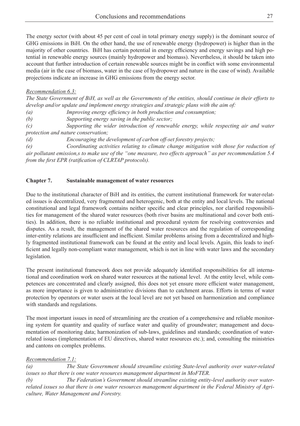The energy sector (with about 45 per cent of coal in total primary energy supply) is the dominant source of GHG emissions in BiH. On the other hand, the use of renewable energy (hydropower) is higher than in the majority of other countries. BiH has certain potential in energy efficiency and energy savings and high potential in renewable energy sources (mainly hydropower and biomass). Nevertheless, it should be taken into account that further introduction of certain renewable sources might be in conflict with some environmental media (air in the case of biomass, water in the case of hydropower and nature in the case of wind). Available projections indicate an increase in GHG emissions from the energy sector.

#### *Recommendation 6.3:*

*The State Government of BiH, as well as the Governments of the entities, should continue in their efforts to develop and/or update and implement energy strategies and strategic plans with the aim of:*

*(a) Improving energy efficiency in both production and consumption;*

*(b) Supporting energy saving in the public sector;*

*(c) Supporting the wider introduction of renewable energy, while respecting air and water protection and nature conservation;*

*(d) Encouraging the development of carbon off-set forestry projects;*

*(e) Coordinating activities relating to climate change mitigation with those for reduction of air pollutant emission,s to make use of the "one measure, two effects approach" as per recommendation 5.4 from the first EPR (ratification of CLRTAP protocols).*

#### **Chapter 7. Sustainable management of water resources**

Due to the institutional character of BiH and its entities, the current institutional framework for water-related issues is decentralized, very fragmented and heterogenic, both at the entity and local levels. The national constitutional and legal framework contains neither specific and clear principles, nor clarified responsibilities for management of the shared water resources (both river basins are multinational and cover both entities). In addition, there is no reliable institutional and procedural system for resolving controversies and disputes. As a result, the management of the shared water resources and the regulation of corresponding inter-entity relations are insufficient and inefficient. Similar problems arising from a decentralized and highly fragmented institutional framework can be found at the entity and local levels. Again, this leads to inefficient and legally non-compliant water management, which is not in line with water laws and the secondary legislation.

The present institutional framework does not provide adequately identified responsibilities for all international and coordination work on shared water resources at the national level. At the entity level, while competences are concentrated and clearly assigned, this does not yet ensure more efficient water management, as more importance is given to administrative divisions than to catchment areas. Efforts in terms of water protection by operators or water users at the local level are not yet based on harmonization and compliance with standards and regulations.

The most important issues in need of streamlining are the creation of a comprehensive and reliable monitoring system for quantity and quality of surface water and quality of groundwater; management and documentation of monitoring data; harmonization of sub-laws, guidelines and standards; coordination of waterrelated issues (implementation of EU directives, shared water resources etc.); and, consulting the ministries and cantons on complex problems.

### *Recommendation 7.1:*

*(a) The State Government should streamline existing State-level authority over water-related issues so that there is one water resources management department in MoFTER.* 

*(b) The Federation's Government should streamline existing entity-level authority over waterrelated issues so that there is one water resources management department in the Federal Ministry of Agriculture, Water Management and Forestry.*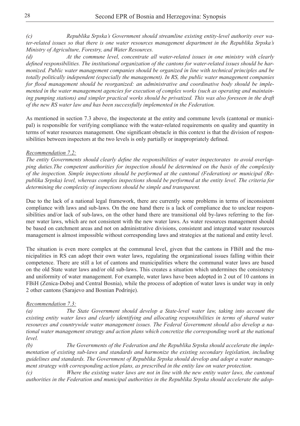*(c) Republika Srpska's Government should streamline existing entity-level authority over water-related issues so that there is one water resources management department in the Republika Srpska's Ministry of Agriculture, Forestry, and Water Resources.* 

*(d) At the commune level, concentrate all water-related issues in one ministry with clearly defined responsibilities. The institutional organization of the cantons for water-related issues should be harmonized. Public water management companies should be organized in line with technical principles and be totally politically independent (especially the management). In RS, the public water management companies for flood management should be reorganized: an administrative and coordinative body should be implemented in the water management agencies for execution of complex works (such as operating and maintaining pumping stations) and simpler practical works should be privatized. This was also foreseen in the draft of the new RS water law and has been successfully implemented in the Federation.*

As mentioned in section 7.3 above, the inspectorate at the entity and commune levels (cantonal or municipal) is responsible for verifying compliance with the water-related requirements on quality and quantity in terms of water resources management. One significant obstacle in this context is that the division of responsibilities between inspectors at the two levels is only partially or inappropriately defined.

#### *Recommendation 7.2:*

*The entity Governments should clearly define the responsibilities of water inspectorates to avoid overlapping duties.The competent authorities for inspection should be determined on the basis of the complexity of the inspection. Simple inspections should be performed at the cantonal (Federation) or municipal (Republika Srpska) level, whereas complex inspections should be performed at the entity level. The criteria for determining the complexity of inspections should be simple and transparent.* 

Due to the lack of a national legal framework, there are currently some problems in terms of inconsistent compliance with laws and sub-laws. On the one hand there is a lack of compliance due to unclear responsibilities and/or lack of sub-laws, on the other hand there are transitional old by-laws referring to the former water laws, which are not consistent with the new water laws. As water resources management should be based on catchment areas and not on administrative divisions, consistent and integrated water resources management is almost impossible without corresponding laws and strategies at the national and entity level.

The situation is even more complex at the communal level, given that the cantons in FBiH and the municipalities in RS can adopt their own water laws, regulating the organizational issues falling within their competence. There are still a lot of cantons and municipalities where the communal water laws are based on the old State water laws and/or old sub-laws. This creates a situation which undermines the consistency and uniformity of water management. For example, water laws have been adopted in 2 out of 10 cantons in FBiH (Zenica-Doboj and Central Bosnia), while the process of adoption of water laws is under way in only 2 other cantons (Sarajevo and Bosnian Podrinje).

#### *Recommendation 7.3:*

*(a) The State Government should develop a State-level water law, taking into account the existing entity water laws and clearly identifying and allocating responsibilities in terms of shared water resources and countrywide water management issues. The Federal Government should also develop a national water management strategy and action plans which concretize the corresponding work at the national level.*

*(b) The Governments of the Federation and the Republika Srpska should accelerate the implementation of existing sub-laws and standards and harmonize the existing secondary legislation, including guidelines and standards. The Government of Republika Srpska should develop and adopt a water management strategy with corresponding action plans, as prescribed in the entity law on water protection.*

*(c) Where the existing water laws are not in line with the new entity water laws, the cantonal authorities in the Federation and municipal authorities in the Republika Srpska should accelerate the adop-*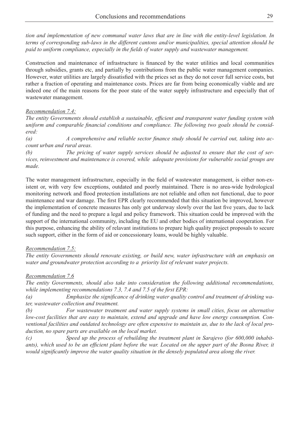*tion and implementation of new communal water laws that are in line with the entity-level legislation. In terms of corresponding sub-laws in the different cantons and/or municipalities, special attention should be paid to uniform compliance, especially in the fields of water supply and wastewater management.* 

Construction and maintenance of infrastructure is financed by the water utilities and local communities through subsidies, grants etc, and partially by contributions from the public water management companies. However, water utilities are largely dissatisfied with the prices set as they do not cover full service costs, but rather a fraction of operating and maintenance costs. Prices are far from being economically viable and are indeed one of the main reasons for the poor state of the water supply infrastructure and especially that of wastewater management.

#### *Recommendation 7.4:*

*The entity Governments should establish a sustainable, efficient and transparent water funding system with uniform and comparable financial conditions and compliance. The following two goals should be considered:*

*(a) A comprehensive and reliable sector finance study should be carried out, taking into account urban and rural areas.*

*(b) The pricing of water supply services should be adjusted to ensure that the cost of services, reinvestment and maintenance is covered, while adequate provisions for vulnerable social groups are made.*

The water management infrastructure, especially in the field of wastewater management, is either non-existent or, with very few exceptions, outdated and poorly maintained. There is no area-wide hydrological monitoring network and flood protection installations are not reliable and often not functional, due to poor maintenance and war damage. The first EPR clearly recommended that this situation be improved, however the implementation of concrete measures has only got underway slowly over the last five years, due to lack of funding and the need to prepare a legal and policy framework. This situation could be improved with the support of the international community, including the EU and other bodies of international cooperation. For this purpose, enhancing the ability of relavant institutions to prepare high quality project proposals to secure such support, either in the form of aid or concessionary loans, would be highly valuable.

#### *Recommendation 7.5:*

*The entity Governments should renovate existing, or build new, water infrastructure with an emphasis on water and groundwater protection according to a priority list of relevant water projects.*

#### *Recommendation 7.6*

*The entity Governments, should also take into consideration the following additional recommendations, while implementing recommendations 7.3, 7.4 and 7.5 of the first EPR:*

*(a) Emphasize the significance of drinking water quality control and treatment of drinking water, wastewater collection and treatment.*

*(b) For wastewater treatment and water supply systems in small cities, focus on alternative low-cost facilities that are easy to maintain, extend and upgrade and have low energy consumption. Conventional facilities and outdated technology are often expensive to maintain as, due to the lack of local production, no spare parts are available on the local market.*

*(c) Speed up the process of rebuilding the treatment plant in Sarajevo (for 600,000 inhabitants), which used to be an efficient plant before the war. Located on the upper part of the Bosna River, it would significantly improve the water quality situation in the densely populated area along the river.*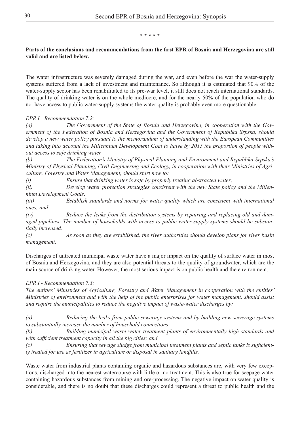#### **\* \* \* \* \***

#### **Parts of the conclusions and recommendations from the first EPR of Bosnia and Herzegovina are still valid and are listed below.**

The water infrastructure was severely damaged during the war, and even before the war the water-supply systems suffered from a lack of investment and maintenance. So although it is estimated that 90% of the water-supply sector has been rehabilitated to its pre-war level, it still does not reach international standards. The quality of drinking water is on the whole mediocre, and for the nearly 50% of the population who do not have access to public water-supply systems the water quality is probably even more questionable.

### *EPR I - Recommendation 7.2:*

*(a) The Government of the State of Bosnia and Herzegovina, in cooperation with the Government of the Federation of Bosnia and Herzegovina and the Government of Republika Srpska, should develop a new water policy pursuant to the memorandum of understanding with the European Communities and taking into account the Millennium Development Goal to halve by 2015 the proportion of people without access to safe drinking water.*

*(b) The Federation's Ministry of Physical Planning and Environment and Republika Srpska's Ministry of Physical Planning, Civil Engineering and Ecology, in cooperation with their Ministries of Agriculture, Forestry and Water Management, should start now to:*

*(i) Ensure that drinking water is safe by properly treating abstracted water;* 

*(ii) Develop water protection strategies consistent with the new State policy and the Millennium Development Goals;* 

*(iii) Establish standards and norms for water quality which are consistent with international ones; and*

*(iv) Reduce the leaks from the distribution systems by repairing and replacing old and damaged pipelines. The number of households with access to public water-supply systems should be substantially increased.*

*(c) As soon as they are established, the river authorities should develop plans for river basin management.*

Discharges of untreated municipal waste water have a major impact on the quality of surface water in most of Bosnia and Herzegovina, and they are also potential threats to the quality of groundwater, which are the main source of drinking water. However, the most serious impact is on public health and the environment.

### *EPR I - Recommendation 7.3:*

*The entities' Ministries of Agriculture, Forestry and Water Management in cooperation with the entities' Ministries of environment and with the help of the public enterprises for water management, should assist and require the municipalities to reduce the negative impact of waste-water discharges by:*

*(a) Reducing the leaks from public sewerage systems and by building new sewerage systems to substantially increase the number of household connections;* 

*(b) Building municipal waste-water treatment plants of environmentally high standards and with sufficient treatment capacity in all the big cities; and*

*(c) Ensuring that sewage sludge from municipal treatment plants and septic tanks is sufficiently treated for use as fertilizer in agriculture or disposal in sanitary landfills.* 

Waste water from industrial plants containing organic and hazardous substances are, with very few exceptions, discharged into the nearest watercourse with little or no treatment. This is also true for seepage water containing hazardous substances from mining and ore-processing. The negative impact on water quality is considerable, and there is no doubt that these discharges could represent a threat to public health and the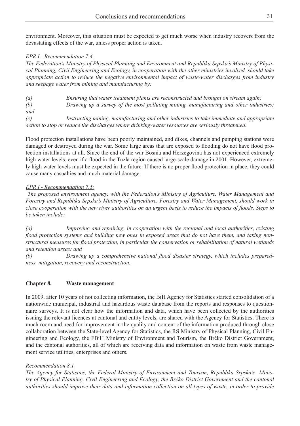environment. Moreover, this situation must be expected to get much worse when industry recovers from the devastating effects of the war, unless proper action is taken.

#### *EPR I - Recommendation 7.4:*

*The Federation's Ministry of Physical Planning and Environment and Republika Srpska's Ministry of Physical Planning, Civil Engineering and Ecology, in cooperation with the other ministries involved, should take appropriate action to reduce the negative environmental impact of waste-water discharges from industry and seepage water from mining and manufacturing by:*

*(a) Ensuring that water treatment plants are reconstructed and brought on stream again; (b) Drawing up a survey of the most polluting mining, manufacturing and other industries; and (c) Instructing mining, manufacturing and other industries to take immediate and appropriate action to stop or reduce the discharges where drinking-water resources are seriously threatened.* 

Flood protection installations have been poorly maintained, and dikes, channels and pumping stations were damaged or destroyed during the war. Some large areas that are exposed to flooding do not have flood protection installations at all. Since the end of the war Bosnia and Herzegovina has not experienced extremely high water levels, even if a flood in the Tuzla region caused large-scale damage in 2001. However, extremely high water levels must be expected in the future. If there is no proper flood protection in place, they could cause many casualties and much material damage.

#### *EPR I - Recommendation 7.5:*

 *The proposed environment agency, with the Federation's Ministry of Agriculture, Water Management and Forestry and Republika Srpska's Ministry of Agriculture, Forestry and Water Management, should work in close cooperation with the new river authorities on an urgent basis to reduce the impacts of floods. Steps to be taken include:*

*(a) Improving and repairing, in cooperation with the regional and local authorities, existing flood protection systems and building new ones in exposed areas that do not have them, and taking nonstructural measures for flood protection, in particular the conservation or rehabilitation of natural wetlands and retention areas; and* 

*(b) Drawing up a comprehensive national flood disaster strategy, which includes preparedness, mitigation, recovery and reconstruction.*

#### **Chapter 8. Waste management**

In 2009, after 10 years of not collecting information, the BiH Agency for Statistics started consolidation of a nationwide municipal, industrial and hazardous waste database from the reports and responses to questionnaire surveys. It is not clear how the information and data, which have been collected by the authorities issuing the relevant licences at cantonal and entity levels, are shared with the Agency for Statistics. There is much room and need for improvement in the quality and content of the information produced through close collaboration between the State-level Agency for Statistics, the RS Ministry of Physical Planning, Civil Engineering and Ecology, the FBiH Ministry of Environment and Tourism, the Brčko District Government, and the cantonal authorities, all of which are receiving data and information on waste from waste management service utilities, enterprises and others.

#### *Recommendation 8.1*

*The Agency for Statistics, the Federal Ministry of Environment and Tourism, Republika Srpska's Ministry of Physical Planning, Civil Engineering and Ecology, the Brčko District Government and the cantonal authorities should improve their data and information collection on all types of waste, in order to provide*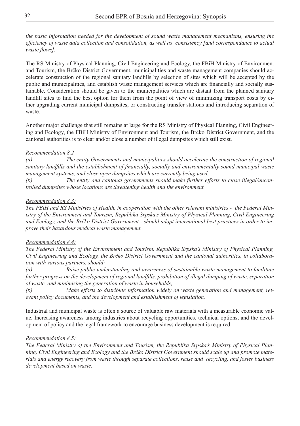*the basic information needed for the development of sound waste management mechanisms, ensuring the efficiency of waste data collection and consolidation, as well as consistency [and correspondance to actual waste flows].*

The RS Ministry of Physical Planning, Civil Engineering and Ecology, the FBiH Ministry of Environment and Tourism, the Brčko District Government, municipalities and waste management companies should accelerate construction of the regional sanitary landfills by selection of sites which will be accepted by the public and municipalities, and establish waste management services which are financially and socially sustainable. Consideration should be given to the municipalities which are distant from the planned sanitary landfill sites to find the best option for them from the point of view of minimizing transport costs by either upgrading current municipal dumpsites, or constructing transfer stations and introducing separation of waste.

Another major challenge that still remains at large for the RS Ministry of Physical Planning, Civil Engineering and Ecology, the FBiH Ministry of Environment and Tourism, the Brčko District Government, and the cantonal authorities is to clear and/or close a number of illegal dumpsites which still exist.

#### *Recommendation 8.2*

*(a) The entity Governments and municipalities should accelerate the construction of regional sanitary landfills and the establishment of financially, socially and environmentally sound municipal waste management systems, and close open dumpsites which are currently being used;* 

*(b) The entity and cantonal governments should make further efforts to close illegal/uncontrolled dumpsites whose locations are threatening health and the environment.* 

#### *Recommendation 8.3:*

*The FBiH and RS Ministries of Health, in cooperation with the other relevant ministries - the Federal Ministry of the Environment and Tourism, Republika Srpska's Ministry of Physical Planning, Civil Engineering and Ecology, and the Brčko District Government - should adopt international best practices in order to improve their hazardous medical waste management.* 

#### *Recommendation 8.4:*

*The Federal Ministry of the Environment and Tourism, Republika Srpska's Ministry of Physical Planning, Civil Engineering and Ecology, the Brčko District Government and the cantonal authorities, in collaboration with various partners, should:*

*(a) Raise public understanding and awareness of sustainable waste management to facilitate further progress on the development of regional landfills, prohibition of illegal dumping of waste, separation of waste, and minimizing the generation of waste in households;*

*(b) Make efforts to distribute information widely on waste generation and management, relevant policy documents, and the development and establishment of legislation.* 

Industrial and municipal waste is often a source of valuable raw materials with a measurable economic value. Increasing awareness among industries about recycling opportunities, technical options, and the development of policy and the legal framework to encourage business development is required.

#### *Recommendation 8.5:*

*The Federal Ministry of the Environment and Tourism, the Republika Srpska's Ministry of Physical Planning, Civil Engineering and Ecology and the Brčko District Government should scale up and promote materials and energy recovery from waste through separate collections, reuse and recycling, and foster business development based on waste.*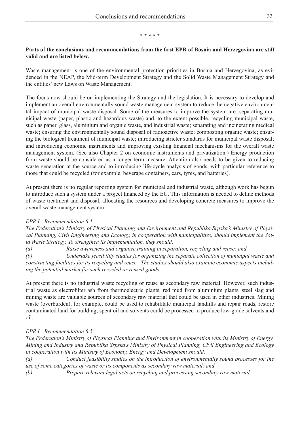#### **\* \* \* \* \***

#### **Parts of the conclusions and recommendations from the first EPR of Bosnia and Herzegovina are still valid and are listed below.**

Waste management is one of the environmental protection priorities in Bosnia and Herzegovina, as evidenced in the NEAP, the Mid-term Development Strategy and the Solid Waste Management Strategy and the entities' new Laws on Waste Management.

The focus now should be on implementing the Strategy and the legislation. It is necessary to develop and implement an overall environmentally sound waste management system to reduce the negative environmental impact of municipal waste disposal. Some of the measures to improve the system are: separating municipal waste (paper, plastic and hazardous waste) and, to the extent possible, recycling municipal waste, such as paper, glass, aluminium and organic waste, and industrial waste; separating and incinerating medical waste; ensuring the environmentally sound disposal of radioactive waste; composting organic waste; ensuring the biological treatment of municipal waste; introducing stricter standards for municipal waste disposal; and introducing economic instruments and improving existing financial mechanisms for the overall waste management system. (See also Chapter 2 on economic instruments and privatization.) Energy production from waste should be considered as a longer-term measure. Attention also needs to be given to reducing waste generation at the source and to introducing life-cycle analysis of goods, with particular reference to those that could be recycled (for example, beverage containers, cars, tyres, and batteries).

At present there is no regular reporting system for municipal and industrial waste, although work has begun to introduce such a system under a project financed by the EU. This information is needed to define methods of waste treatment and disposal, allocating the resources and developing concrete measures to improve the overall waste management system.

### *EPR I - Recommendation 6.1:*

*The Federation's Ministry of Physical Planning and Environment and Republika Srpska's Ministry of Physical Planning, Civil Engineering and Ecology, in cooperation with municipalities, should implement the Solid Waste Strategy. To strengthen its implementation, they should:*

*(a) Raise awareness and organize training in separation, recycling and reuse; and*

*(b) Undertake feasibility studies for organizing the separate collection of municipal waste and constructing facilities for its recycling and reuse. The studies should also examine economic aspects including the potential market for such recycled or reused goods.*

At present there is no industrial waste recycling or reuse as secondary raw material. However, such industrial waste as electrofilter ash from thermoelectric plants, red mud from aluminium plants, steel slag and mining waste are valuable sources of secondary raw material that could be used in other industries. Mining waste (overburden), for example, could be used to rehabilitate municipal landfills and repair roads, restore contaminated land for building; spent oil and solvents could be processed to produce low-grade solvents and oil.

# *EPR I - Recommendation 6.5:*

*The Federation's Ministry of Physical Planning and Environment in cooperation with its Ministry of Energy, Mining and Industry and Republika Srpska's Ministry of Physical Planning, Civil Engineering and Ecology in cooperation with its Ministry of Economy, Energy and Development should:*

*(a) Conduct feasibility studies on the introduction of environmentally sound processes for the use of some categories of waste or its components as secondary raw material; and*

*(b) Prepare relevant legal acts on recycling and processing secondary raw material.*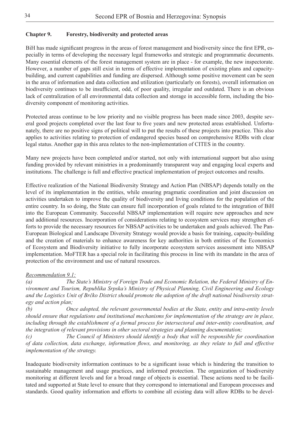# **Chapter 9. Forestry, biodiversity and protected areas**

BiH has made significant progress in the areas of forest management and biodiversity since the first EPR, especially in terms of developing the necessary legal frameworks and strategic and programmatic documents. Many essential elements of the forest management system are in place - for example, the new inspectorate. However, a number of gaps still exist in terms of effective implementation of existing plans and capacitybuilding, and current capabilities and funding are dispersed. Although some positive movement can be seen in the area of information and data collection and utilization (particularly on forests), overall information on biodiversity continues to be insufficient, odd, of poor quality, irregular and outdated. There is an obvious lack of centralization of all environmental data collection and storage in accessible form, including the biodiversity component of monitoring activities.

Protected areas continue to be low priority and no visible progress has been made since 2003, despite several good projects completed over the last four to five years and new protected areas established. Unfortunately, there are no positive signs of political will to put the results of these projects into practice. This also applies to activities relating to protection of endangered species based on comprehensive RDBs with clear legal status. Another gap in this area relates to the non-implementation of CITES in the country.

Many new projects have been completed and/or started, not only with international support but also using funding provided by relevant ministries in a predominantly transparent way and engaging local experts and institutions. The challenge is full and effective practical implementation of project outcomes and results.

Effective realization of the National Biodiversity Strategy and Action Plan (NBSAP) depends totally on the level of its implementation in the entities, while ensuring pragmatic coordination and joint discussion on activities undertaken to improve the quality of biodiversity and living conditions for the population of the entire country. In so doing, the State can ensure full incorporation of goals related to the integration of BiH into the European Community. Successful NBSAP implementation will require new approaches and new and additional resources. Incorporation of considerations relating to ecosystem services may strengthen efforts to provide the necessary resources for NBSAP activities to be undertaken and goals achieved. The Pan-European Biological and Landscape Diversity Strategy would provide a basis for training, capacity-building and the creation of materials to enhance awareness for key authorities in both entities of the Economics of Ecosystem and Biodiversity initiative to fully incorporate ecosystem services assessment into NBSAP implementation. MoFTER has a special role in facilitating this process in line with its mandate in the area of protection of the environment and use of natural resources.

### *Recommendation 9.1:*

*(a) The State's Ministry of Foreign Trade and Economic Relation, the Federal Ministry of Environment and Tourism, Republika Srpska's Ministry of Physical Planning, Civil Engineering and Ecology and the Logistics Unit of Brčko District should promote the adoption of the draft national biodiversity strategy and action plan;*

*(b) Once adopted, the relevant governmental bodies at the State, entity and intra-entity levels should ensure that regulations and institutional mechanisms for implementation of the strategy are in place, including through the establishment of a formal process for intersectoral and inter-entity coordination, and the integration of relevant provisions in other sectoral strategies and planning documentation;*

*(c) The Council of Ministers should identify a body that will be responsible for coordination of data collection, data exchange, information flows, and monitoring, as they relate to full and effective implementation of the strategy.*

Inadequate biodiversity information continues to be a significant issue which is hindering the transition to sustainable management and usage practices, and informed protection. The organization of biodiversity monitoring at different levels and for a broad range of objects is essential. These actions need to be facilitated and supported at State level to ensure that they correspond to international and European processes and standards. Good quality information and efforts to combine all existing data will allow RDBs to be devel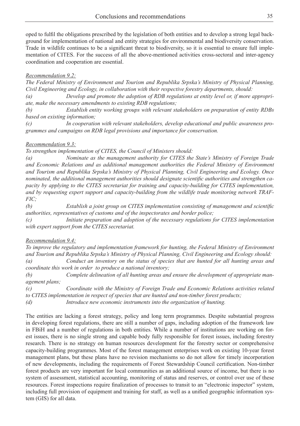oped to fulfil the obligations prescribed by the legislation of both entities and to develop a strong legal background for implementation of national and entity strategies for environmental and biodiversity conservation. Trade in wildlife continues to be a significant threat to biodiversity, so it is essential to ensure full implementation of CITES. For the success of all the above-mentioned activities cross-sectoral and inter-agency coordination and cooperation are essential.

#### *Recommendation 9.2:*

*The Federal Ministry of Environment and Tourism and Republika Srpska's Ministry of Physical Planning, Civil Engineering and Ecology, in collaboration with their respective forestry departments, should:*

*(a) Develop and promote the adoption of RDB regulations at entity level or, if more appropriate, make the necessary amendments to existing RDB regulations;*

*(b) Establish entity working groups with relevant stakeholders on preparation of entity RDBs based on existing information;*

*(c) In cooperation with relevant stakeholders, develop educational and public awareness programmes and campaigns on RDB legal provisions and importance for conservation.*

#### *Recommendation 9.3:*

*To strengthen implementation of CITES, the Council of Ministers should:*

*(a) Nominate as the management authority for CITES the State's Ministry of Foreign Trade and Economic Relations and as additional management authorities the Federal Ministry of Environment and Tourism and Republika Srpska's Ministry of Physical Planning, Civil Engineering and Ecology. Once nominated, the additional management authorities should designate scientific authorities and strengthen capacity by applying to the CITES secretariat for training and capacity-building for CITES implementation, and by requesting expert support and capacity-building from the wildlife trade monitoring network TRAF-FIC;*

*(b) Establish a joint group on CITES implementation consisting of management and scientific authorities, representatives of customs and of the inspectorates and border police;*

*(c) Initiate preparation and adoption of the necessary regulations for CITES implementation with expert support from the CITES secretariat.*

### *Recommendation 9.4:*

*To improve the regulatory and implementation framework for hunting, the Federal Ministry of Environment and Tourism and Republika Srpska's Ministry of Physical Planning, Civil Engineering and Ecology should:*

*(a) Conduct an inventory on the status of species that are hunted for all hunting areas and coordinate this work in order to produce a national inventory;*

*(b) Complete delineation of all hunting areas and ensure the development of appropriate management plans;*

*(c) Coordinate with the Ministry of Foreign Trade and Economic Relations activities related to CITES implementation in respect of species that are hunted and non-timber forest products;*

*(d) Introduce new economic instruments into the organization of hunting.*

The entities are lacking a forest strategy, policy and long term programmes. Despite substantial progress in developing forest regulations, there are still a number of gaps, including adoption of the framework law in FBiH and a number of regulations in both entities. While a number of institutions are working on forest issues, there is no single strong and capable body fully responsible for forest issues, including forestry research. There is no strategy on human resources development for the forestry sector or comprehensive capacity-building programmes. Most of the forest management enterprises work on existing 10-year forest management plans, but these plans have no revision mechanisms so do not allow for timely incorporation of new developments, including the requirements of Forest Stewardship Council certification. Non-timber forest products are very important for local communities as an additional source of income, but there is no system of assessment, statistical accounting, monitoring of status and reserves, or control over use of these resources. Forest inspections require finalization of processes to transit to an "electronic inspector" system, including full provision of equipment and training for staff, as well as a unified geographic information system (GIS) for all data.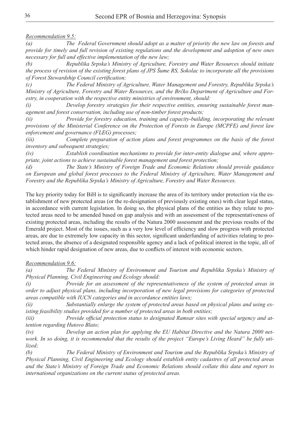*Recommendation 9.5:*

*(a) The Federal Government should adopt as a matter of priority the new law on forests and provide for timely and full revision of existing regulations and the development and adoption of new ones necessary for full and effective implementation of the new law;*

*(b) Republika Srpska's Ministry of Agriculture, Forestry and Water Resources should initiate the process of revision of the existing forest plans of JPS Šume RS, Sokolac to incorporate all the provisions of Forest Stewardship Council certification;*

*(c) The Federal Ministry of Agriculture, Water Management and Forestry, Republika Srpska's Ministry of Agriculture, Forestry and Water Resources, and the Brčko Department of Agriculture and Forestry, in cooperation with the respective entity ministries of environment, should:*

*(i) Develop forestry strategies for their respective entities, ensuring sustainable forest management and forest conservation, including use of non-timber forest products;*

*(ii) Provide for forestry education, training and capacity-building, incorporating the relevant provisions of the Ministerial Conference on the Protection of Forests in Europe (MCPFE) and forest law enforcement and governance (FLEG) processes;* 

*(iii) Complete preparation of action plans and forest programmes on the basis of the forest inventory and subsequent strategies;*

*(iv) Establish coordination mechanisms to provide for inter-entity dialogue and, where appropriate, joint actions to achieve sustainable forest management and forest protection;*

*(d) The State's Ministry of Foreign Trade and Economic Relations should provide guidance on European and global forest processes to the Federal Ministry of Agriculture, Water Management and Forestry and the Republika Srpska's Ministry of Agriculture, Forestry and Water Resources.*

The key priority today for BiH is to significantly increase the area of its territory under protection via the establishment of new protected areas (or the re-designation of previously existing ones) with clear legal status, in accordance with current legislation. In doing so, the physical plans of the entities as they relate to protected areas need to be amended based on gap analysis and with an assessment of the representativeness of existing protected areas, including the results of the Natura 2000 assessment and the previous results of the Emerald project. Most of the issues, such as a very low level of efficiency and slow progress with protected areas, are due to extremely low capacity in this sector, significant underfunding of activities relating to protected areas, the absence of a designated responsible agency and a lack of political interest in the topic, all of which hinder rapid designation of new areas, due to conflicts of interest with economic sectors.

### *Recommendation 9.6:*

*(a) The Federal Ministry of Environment and Tourism and Republika Srpska's Ministry of Physical Planning, Civil Engineering and Ecology should:* 

*(i) Provide for an assessment of the representativeness of the system of protected areas in order to adjust physical plans, including incorporation of new legal provisions for categories of protected areas compatible with IUCN categories and in accordance entities laws;*

*(ii) Substantially enlarge the system of protected areas based on physical plans and using existing feasibility studies provided for a number of protected areas in both entities;*

*(iii) Provide official protection status to designated Ramsar sites with special urgency and attention regarding Hutovo Blato;*

*(iv) Develop an action plan for applying the EU Habitat Directive and the Natura 2000 network. In so doing, it is recommended that the results of the project "Europe's Living Heard" be fully utilized;*

*(b) The Federal Ministry of Environment and Tourism and the Republika Srpska's Ministry of Physical Planning, Civil Engineering and Ecology should establish entity cadastres of all protected areas and the State's Ministry of Foreign Trade and Economic Relations should collate this data and report to international organizations on the current status of protected areas.*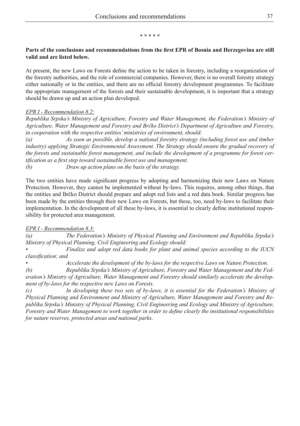#### **\* \* \* \* \***

#### **Parts of the conclusions and recommendations from the first EPR of Bosnia and Herzegovina are still valid and are listed below.**

At present, the new Laws on Forests define the action to be taken in forestry, including a reorganization of the forestry authorities, and the role of commercial companies. However, there is no overall forestry strategy either nationally or in the entities, and there are no official forestry development programmes. To facilitate the appropriate management of the forests and their sustainable development, it is important that a strategy should be drawn up and an action plan developed.

### *EPR I - Recommendation 8.2:*

*Republika Srpska's Ministry of Agriculture, Forestry and Water Management, the Federation's Ministry of Agriculture, Water Management and Forestry and Brčko District's Department of Agriculture and Forestry, in cooperation with the respective entities' ministries of environment, should:*

*(a) As soon as possible, develop a national forestry strategy (including forest use and timber industry) applying Strategic Environmental Assessment. The Strategy should ensure the gradual recovery of the forests and sustainable forest management, and include the development of a programme for forest certification as a first step toward sustainable forest use and management.*

*(b) Draw up action plans on the basis of the strategy.*

The two entities have made significant progress by adopting and harmonizing their new Laws on Nature Protection. However, they cannot be implemented without by-laws. This requires, among other things, that the entities and Brčko District should prepare and adopt red lists and a red data book. Similar progress has been made by the entities through their new Laws on Forests, but these, too, need by-laws to facilitate their implementation. In the development of all these by-laws, it is essential to clearly define institutional responsibility for protected area management.

### *EPR I - Recommendation 8.3:*

*(a) The Federation's Ministry of Physical Planning and Environment and Republika Srpska's Ministry of Physical Planning, Civil Engineering and Ecology should:*

*• Finalize and adopt red data books for plant and animal species according to the IUCN classification; and*

*• Accelerate the development of the by-laws for the respective Laws on Nature Protection.* 

*(b) Republika Srpska's Ministry of Agriculture, Forestry and Water Management and the Federation's Ministry of Agriculture, Water Management and Forestry should similarly accelerate the development of by-laws for the respective new Laws on Forests.*

*(c) In developing these two sets of by-laws, it is essential for the Federation's Ministry of Physical Planning and Environment and Ministry of Agriculture, Water Management and Forestry and Republika Srpska's Ministry of Physical Planning, Civil Engineering and Ecology and Ministry of Agriculture, Forestry and Water Management to work together in order to define clearly the institutional responsibilities for nature reserves, protected areas and national parks.*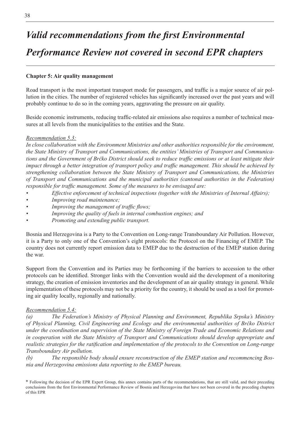# *Valid recommendations from the first Environmental Performance Review not covered in second EPR chapters*

#### **Chapter 5: Air quality management**

Road transport is the most important transport mode for passengers, and traffic is a major source of air pollution in the cities. The number of registered vehicles has significantly increased over the past years and will probably continue to do so in the coming years, aggravating the pressure on air quality.

Beside economic instruments, reducing traffic-related air emissions also requires a number of technical measures at all levels from the municipalities to the entities and the State.

#### *Recommendation 5.3:*

*In close collaboration with the Environment Ministries and other authorities responsible for the environment, the State Ministry of Transport and Communications, the entities' Ministries of Transport and Communications and the Government of Brčko District should seek to reduce traffic emissions or at least mitigate their impact through a better integration of transport policy and traffic management. This should be achieved by strengthening collaboration between the State Ministry of Transport and Communications, the Ministries of Transport and Communications and the municipal authorities (cantonal authorities in the Federation) responsible for traffic management. Some of the measures to be envisaged are:*

- *• Effective enforcement of technical inspections (together with the Ministries of Internal Affairs);*
- *• Improving road maintenance;*
- *• Improving the management of traffic flows;*
- *• Improving the quality of fuels in internal combustion engines; and*
- *• Promoting and extending public transport.*

Bosnia and Herzegovina is a Party to the Convention on Long-range Transboundary Air Pollution. However, it is a Party to only one of the Convention's eight protocols: the Protocol on the Financing of EMEP. The country does not currently report emission data to EMEP due to the destruction of the EMEP station during the war.

Support from the Convention and its Parties may be forthcoming if the barriers to accession to the other protocols can be identified. Stronger links with the Convention would aid the development of a monitoring strategy, the creation of emission inventories and the development of an air quality strategy in general. While implementation of these protocols may not be a priority for the country, it should be used as a tool for promoting air quality locally, regionally and nationally.

#### *Recommendation 5.4:*

*(a) The Federation's Ministry of Physical Planning and Environment, Republika Srpska's Ministry of Physical Planning, Civil Engineering and Ecology and the environmental authorities of Brčko District under the coordination and supervision of the State Ministry of Foreign Trade and Economic Relations and in cooperation with the State Ministry of Transport and Communications should develop appropriate and realistic strategies for the ratification and implementation of the protocols to the Convention on Long-range Transboundary Air pollution.* 

*(b) The responsible body should ensure reconstruction of the EMEP station and recommencing Bosnia and Herzegovina emissions data reporting to the EMEP bureau.*

\* Following the decision of the EPR Expert Group, this annex contains parts of the recommendations, that are still valid, and their preceding conclusions from the first Environmental Performance Review of Bosnia and Herzegovina that have not been covered in the preceding chapters of this EPR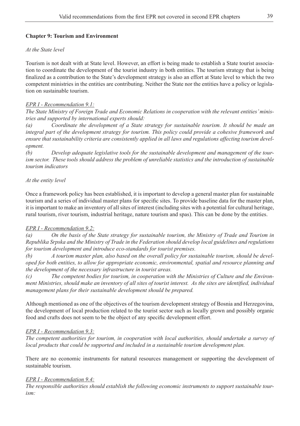## **Chapter 9: Tourism and Environment**

#### *At the State level*

Tourism is not dealt with at State level. However, an effort is being made to establish a State tourist association to coordinate the development of the tourist industry in both entities. The tourism strategy that is being finalized as a contribution to the State's development strategy is also an effort at State level to which the two competent ministries in the entities are contributing. Neither the State nor the entities have a policy or legislation on sustainable tourism.

### *EPR I - Recommendation 9.1:*

*The State Ministry of Foreign Trade and Economic Relations in cooperation with the relevant entities' ministries and supported by international experts should:* 

*(a) Coordinate the development of a State strategy for sustainable tourism. It should be made an integral part of the development strategy for tourism. This policy could provide a cohesive framework and ensure that sustainability criteria are consistently applied in all laws and regulations affecting tourism development.* 

*(b) Develop adequate legislative tools for the sustainable development and management of the tourism sector. These tools should address the problem of unreliable statistics and the introduction of sustainable tourism indicators*

#### *At the entity level*

Once a framework policy has been established, it is important to develop a general master plan for sustainable tourism and a series of individual master plans for specific sites. To provide baseline data for the master plan, it is important to make an inventory of all sites of interest (including sites with a potential for cultural heritage, rural tourism, river tourism, industrial heritage, nature tourism and spas). This can be done by the entities.

#### *EPR I - Recommendation 9.2:*

*(a) On the basis of the State strategy for sustainable tourism, the Ministry of Trade and Tourism in Republika Srpska and the Ministry of Trade in the Federation should develop local guidelines and regulations for tourism development and introduce eco-standards for tourist premises.* 

*(b) A tourism master plan, also based on the overall policy for sustainable tourism, should be developed for both entities, to allow for appropriate economic, environmental, spatial and resource planning and the development of the necessary infrastructure in tourist areas.*

*(c) The competent bodies for tourism, in cooperation with the Ministries of Culture and the Environment Ministries, should make an inventory of all sites of tourist interest. As the sites are identified, individual management plans for their sustainable development should be prepared.*

Although mentioned as one of the objectives of the tourism development strategy of Bosnia and Herzegovina, the development of local production related to the tourist sector such as locally grown and possibly organic food and crafts does not seem to be the object of any specific development effort.

### *EPR I - Recommendation 9.3:*

*The competent authorities for tourism, in cooperation with local authorities, should undertake a survey of local products that could be supported and included in a sustainable tourism development plan.*

There are no economic instruments for natural resources management or supporting the development of sustainable tourism.

#### *EPR I - Recommendation 9.4:*

*The responsible authorities should establish the following economic instruments to support sustainable tourism:*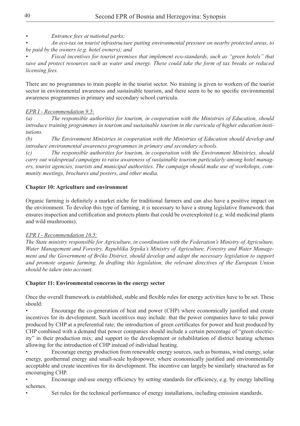*• Entrance fees at national parks;*

*• An eco-tax on tourist infrastructure putting environmental pressure on nearby protected areas, to be paid by the owners (e.g. hotel owners); and*

*• Fiscal incentives for tourist premises that implement eco-standards, such as "green hotels" that save and protect resources such as water and energy. These could take the form of tax breaks or reduced licensing fees.* 

There are no programmes to train people in the tourist sector. No training is given to workers of the tourist sector in environmental awareness and sustainable tourism, and there seem to be no specific environmental awareness programmes in primary and secondary school curricula.

# *EPR I - Recommendation 9.5:*

*(a) The responsible authorities for tourism, in cooperation with the Ministries of Education, should introduce training programmes in tourism and sustainable tourism in the curricula of higher education institutions.*

*(b) The Environment Ministries in cooperation with the Ministries of Education should develop and introduce environmental awareness programmes in primary and secondary schools.*

*(c) The responsible authorities for tourism, in cooperation with the Environment Ministries, should carry out widespread campaigns to raise awareness of sustainable tourism particularly among hotel managers, tourist agencies, tourists and municipal authorities. The campaign should make use of workshops, community meetings, brochures and posters, and other media.* 

# **Chapter 10: Agriculture and environment**

Organic farming is definitely a market niche for traditional farmers and can also have a positive impact on the environment. To develop this type of farming, it is necessary to have a strong legislative framework that ensures inspection and certification and protects plants that could be overexploited (e.g. wild medicinal plants and wild mushrooms).

# *EPR I - Recommendation 10.5:*

The State ministry responsible for Agriculture, in coordination with the Federation's Ministry of Agriculture, *Water Management and Forestry, Republika Srpska's Ministry of Agriculture, Forestry and Water Management and the Government of Brčko District, should develop and adopt the necessary legislation to support and promote organic farming. In drafting this legislation, the relevant directives of the European Union should be taken into account.*

# **Chapter 11: Environmental concerns in the energy sector**

Once the overall framework is established, stable and flexible rules for energy activities have to be set. These should:

Encourage the co-generation of heat and power (CHP) where economically justified and create incentives for its development. Such incentives may include: that the power companies have to take power produced by CHP at a preferential rate; the introduction of green certificates for power and heat produced by CHP combined with a demand that power companies should include a certain percentage of "green electricity" in their production mix; and support to the development or rehabilitation of district heating schemes allowing for the introduction of CHP instead of individual heating.

Encourage energy production from renewable energy sources, such as biomass, wind energy, solar energy, geothermal energy and small-scale hydropower, where economically justified and environmentally acceptable and create incentives for its development. The incentive can largely be similarly structured as for encouraging CHP.

Encourage end-use energy efficiency by setting standards for efficiency, e.g. by energy labelling schemes.

Set rules for the technical performance of energy installations, including emission standards.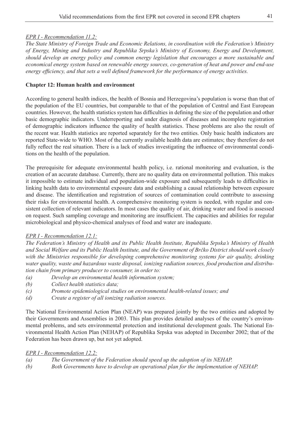#### *EPR I - Recommendation 11.2:*

*The State Ministry of Foreign Trade and Economic Relations, in coordination with the Federation's Ministry of Energy, Mining and Industry and Republika Srpska's Ministry of Economy, Energy and Development, should develop an energy policy and common energy legislation that encourages a more sustainable and economical energy system based on renewable energy sources, co-generation of heat and power and end-use energy efficiency, and that sets a well defined framework for the performance of energy activities.* 

#### **Chapter 12: Human health and environment**

According to general health indices, the health of Bosnia and Herzegovina's population is worse than that of the population of the EU countries, but comparable to that of the population of Central and East European countries. However, the health statistics system has difficulties in defining the size of the population and other basic demographic indicators. Underreporting and under diagnosis of diseases and incomplete registration of demographic indicators influence the quality of health statistics. These problems are also the result of the recent war. Health statistics are reported separately for the two entities. Only basic health indicators are reported State-wide to WHO. Most of the currently available health data are estimates; they therefore do not fully reflect the real situation. There is a lack of studies investigating the influence of environmental conditions on the health of the population.

The prerequisite for adequate environmental health policy, i.e. rational monitoring and evaluation, is the creation of an accurate database. Currently, there are no quality data on environmental pollution. This makes it impossible to estimate individual and population-wide exposure and subsequently leads to difficulties in linking health data to environmental exposure data and establishing a causal relationship between exposure and disease. The identification and registration of sources of contamination could contribute to assessing their risks for environmental health. A comprehensive monitoring system is needed, with regular and consistent collection of relevant indicators. In most cases the quality of air, drinking water and food is assessed on request. Such sampling coverage and monitoring are insufficient. The capacities and abilities for regular microbiological and physico-chemical analyses of food and water are inadequate.

### *EPR I - Recommendation 12.1:*

*The Federation's Ministry of Health and its Public Health Institute, Republika Srpska's Ministry of Health and Social Welfare and its Public Health Institute, and the Government of Brčko District should work closely with the Ministries responsible for developing comprehensive monitoring systems for air quality, drinking water quality, waste and hazardous waste disposal, ionizing radiation sources, food production and distribution chain from primary producer to consumer, in order to:*

- *(a) Develop an environmental health information system;*
- *(b) Collect health statistics data;*
- *(c) Promote epidemiological studies on environmental health-related issues; and*
- *(d) Create a register of all ionizing radiation sources.*

The National Environmental Action Plan (NEAP) was prepared jointly by the two entities and adopted by their Governments and Assemblies in 2003. This plan provides detailed analyses of the country's environmental problems, and sets environmental protection and institutional development goals. The National Environmental Health Action Plan (NEHAP) of Republika Srpska was adopted in December 2002; that of the Federation has been drawn up, but not yet adopted.

#### *EPR I - Recommendation 12.2:*

| (a) | The Government of the Federation should speed up the adoption of its NEHAP.           |
|-----|---------------------------------------------------------------------------------------|
| (b) | Both Governments have to develop an operational plan for the implementation of NEHAP. |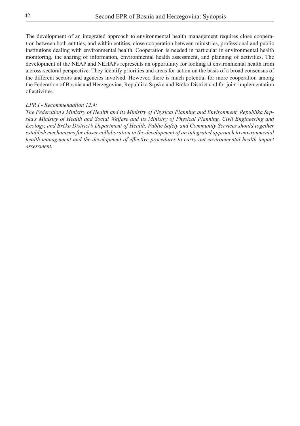The development of an integrated approach to environmental health management requires close cooperation between both entities, and within entities, close cooperation between ministries, professional and public institutions dealing with environmental health. Cooperation is needed in particular in environmental health monitoring, the sharing of information, environmental health assessment, and planning of activities. The development of the NEAP and NEHAPs represents an opportunity for looking at environmental health from a cross-sectoral perspective. They identify priorities and areas for action on the basis of a broad consensus of the different sectors and agencies involved. However, there is much potential for more cooperation among the Federation of Bosnia and Herzegovina, Republika Srpska and Brčko District and for joint implementation of activities.

#### *EPR I - Recommendation 12.4:*

*The Federation's Ministry of Health and its Ministry of Physical Planning and Environment, Republika Srpska's Ministry of Health and Social Welfare and its Ministry of Physical Planning, Civil Engineering and Ecology, and Brčko District's Department of Health, Public Safety and Community Services should together establish mechanisms for closer collaboration in the development of an integrated approach to environmental health management and the development of effective procedures to carry out environmental health impact assessment.*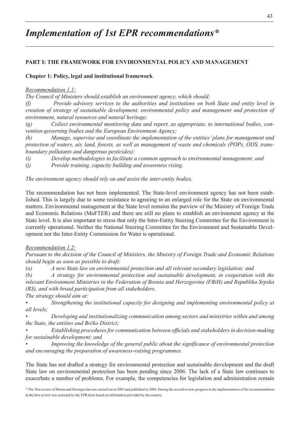# *Implementation of 1st EPR recommendations\**

#### **PART I: THE FRAMEWORK FOR ENVIRONMENTAL POLICY AND MANAGEMENT**

#### **Chapter 1: Policy, legal and institutional framework**

#### *Recommendation 1.1:*

*The Council of Ministers should establish an environment agency, which should:*

*(f) Provide advisory services to the authorities and institutions on both State and entity level in creation of strategy of sustainable development, environmental policy and management and protection of environment, natural resources and natural heritage;*

*(g) Collect environmental monitoring data and report, as appropriate, to international bodies, convention-governing bodies and the European Environment Agency;*

*(h) Manage, supervise and coordinate the implementation of the entities' plans for management and protection of waters, air, land, forests, as well as management of waste and chemicals (POPs, ODS, transboundary pollutants and dangerous pesticides);*

*(i) Develop methodologies to facilitate a common approach to environmental management; and* 

*(j) Provide training, capacity building and awareness rising.*

*The environment agency should rely on and assist the inter-entity bodies.* 

The recommendation has not been implemented. The State-level environment agency has not been established. This is largely due to some resistance to agreeing to an enlarged role for the State on environmental matters. Environmental management at the State level remains the purview of the Ministry of Foreign Trade and Economic Relations (MoFTER) and there are still no plans to establish an environment agency at the State level. It is also important to stress that only the Inter-Entity Steering Committee for the Environment is currently operational. Neither the National Steering Committee for the Environment and Sustainable Development nor the Inter-Entity Commission for Water is operational.

#### *Recommendation 1.2:*

*Pursuant to the decision of the Council of Ministers, the Ministry of Foreign Trade and Economic Relations should begin as soon as possible to draft:*

*(a) A new State law on environmental protection and all relevant secondary legislation; and*

*(b) A strategy for environmental protection and sustainable development, in cooperation with the relevant Environment Ministries in the Federation of Bosnia and Herzegovina (FBiH) and Republika Srpska (RS), and with broad participation from all stakeholders.*

*The strategy should aim at:*

*• Strengthening the institutional capacity for designing and implementing environmental policy at all levels;*

*• Developing and institutionalizing communication among sectors and ministries within and among the State, the entities and Brčko District;*

*• Establishing procedures for communication between officials and stakeholders in decision-making for sustainable development; and*

*• Improving the knowledge of the general public about the significance of environmental protection and encouraging the preparation of awareness-raising programmes.*

The State has not drafted a strategy for environmental protection and sustainable development and the draft State law on environmental protection has been pending since 2006. The lack of a State law continues to exacerbate a number of problems. For example, the competencies for legislation and administration remain

\* The first review of Bosnia and Herzegovina was carried out in 2003 and published in 2004. During the second review, progress in the implementation of the recommendations in the first review was assessed by the EPR team based on information provided by the country.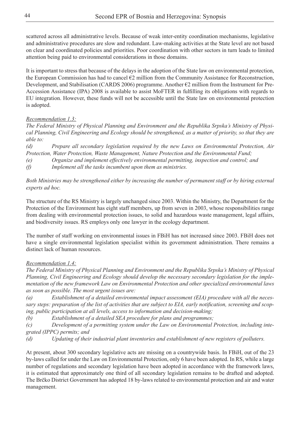scattered across all administrative levels. Because of weak inter-entity coordination mechanisms, legislative and administrative procedures are slow and redundant. Law-making activities at the State level are not based on clear and coordinated policies and priorities. Poor coordination with other sectors in turn leads to limited attention being paid to environmental considerations in those domains.

It is important to stress that because of the delays in the adoption of the State law on environmental protection, the European Commission has had to cancel €2 million from the Community Assistance for Reconstruction, Development, and Stabilisation (CARDS 2006) programme. Another €2 million from the Instrument for Pre-Accession Assistance (IPA) 2008 is available to assist MoFTER in fulfilling its obligations with regards to EU integration. However, these funds will not be accessible until the State law on environmental protection is adopted.

### *Recommendation 1.3:*

*The Federal Ministry of Physical Planning and Environment and the Republika Srpska's Ministry of Physical Planning, Civil Engineering and Ecology should be strengthened, as a matter of priority, so that they are able to:*

*(d) Prepare all secondary legislation required by the new Laws on Environmental Protection, Air Protection, Water Protection, Waste Management, Nature Protection and the Environmental Fund;*

*(e) Organize and implement effectively environmental permitting, inspection and control; and*

*(f) Implement all the tasks incumbent upon them as ministries.*

*Both Ministries may be strengthened either by increasing the number of permanent staff or by hiring external experts ad hoc.* 

The structure of the RS Ministry is largely unchanged since 2003. Within the Ministry, the Department for the Protection of the Environment has eight staff members, up from seven in 2003, whose responsibilities range from dealing with environmental protection issues, to solid and hazardous waste management, legal affairs, and biodiversity issues. RS employs only one lawyer in the ecology department.

The number of staff working on environmental issues in FBiH has not increased since 2003. FBiH does not have a single environmental legislation specialist within its government administration. There remains a distinct lack of human resources.

## *Recommendation 1.4:*

*The Federal Ministry of Physical Planning and Environment and the Republika Srpska's Ministry of Physical Planning, Civil Engineering and Ecology should develop the necessary secondary legislation for the implementation of the new framework Law on Environmental Protection and other specialized environmental laws as soon as possible. The most urgent issues are:*

*(a) Establishment of a detailed environmental impact assessment (EIA) procedure with all the necessary steps: preparation of the list of activities that are subject to EIA, early notification, screening and scoping, public participation at all levels, access to information and decision-making;*

*(b) Establishment of a detailed SEA procedure for plans and programmes;*

*(c) Development of a permitting system under the Law on Environmental Protection, including integrated (IPPC) permits; and* 

*(d) Updating of their industrial plant inventories and establishment of new registers of polluters.*

At present, about 300 secondary legislative acts are missing on a countrywide basis. In FBiH, out of the 23 by-laws called for under the Law on Environmental Protection, only 6 have been adopted. In RS, while a large number of regulations and secondary legislation have been adopted in accordance with the framework laws, it is estimated that approximately one third of all secondary legislation remains to be drafted and adopted. The Brčko District Government has adopted 18 by-laws related to environmental protection and air and water management.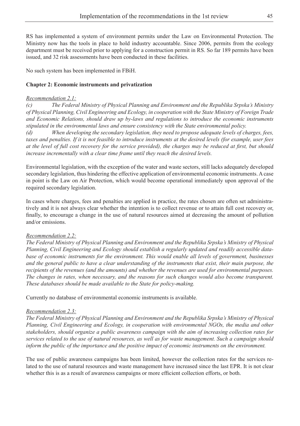RS has implemented a system of environment permits under the Law on Environmental Protection. The Ministry now has the tools in place to hold industry accountable. Since 2006, permits from the ecology department must be received prior to applying for a construction permit in RS. So far 189 permits have been issued, and 32 risk assessments have been conducted in these facilities.

No such system has been implemented in FBiH.

#### **Chapter 2: Economic instruments and privatization**

#### *Recommendation 2.1:*

*(c) The Federal Ministry of Physical Planning and Environment and the Republika Srpska's Ministry of Physical Planning, Civil Engineering and Ecology, in cooperation with the State Ministry of Foreign Trade and Economic Relations, should draw up by-laws and regulations to introduce the economic instruments stipulated in the environmental laws and ensure consistency with the State environmental policy.* 

*(d) When developing the secondary legislation, they need to propose adequate levels of charges, fees, taxes and penalties. If it is not feasible to introduce instruments at the desired levels (for example, user fees at the level of full cost recovery for the service provided), the charges may be reduced at first, but should increase incrementally with a clear time frame until they reach the desired levels.* 

Environmental legislation, with the exception of the water and waste sectors, still lacks adequately developed secondary legislation, thus hindering the effective application of environmental economic instruments. A case in point is the Law on Air Protection, which would become operational immediately upon approval of the required secondary legislation.

In cases where charges, fees and penalties are applied in practice, the rates chosen are often set administratively and it is not always clear whether the intention is to collect revenue or to attain full cost recovery or, finally, to encourage a change in the use of natural resources aimed at decreasing the amount of pollution and/or emissions.

#### *Recommendation 2.2:*

*The Federal Ministry of Physical Planning and Environment and the Republika Srpska's Ministry of Physical Planning, Civil Engineering and Ecology should establish a regularly updated and readily accessible database of economic instruments for the environment. This would enable all levels of government, businesses and the general public to have a clear understanding of the instruments that exist, their main purpose, the recipients of the revenues (and the amounts) and whether the revenues are used for environmental purposes. The changes in rates, when necessary, and the reasons for such changes would also become transparent. These databases should be made available to the State for policy-making.*

Currently no database of environmental economic instruments is available.

#### *Recommendation 2.3:*

*The Federal Ministry of Physical Planning and Environment and the Republika Srpska's Ministry of Physical Planning, Civil Engineering and Ecology, in cooperation with environmental NGOs, the media and other stakeholders, should organize a public awareness campaign with the aim of increasing collection rates for services related to the use of natural resources, as well as for waste management. Such a campaign should inform the public of the importance and the positive impact of economic instruments on the environment.*

The use of public awareness campaigns has been limited, however the collection rates for the services related to the use of natural resources and waste management have increased since the last EPR. It is not clear whether this is as a result of awareness campaigns or more efficient collection efforts, or both.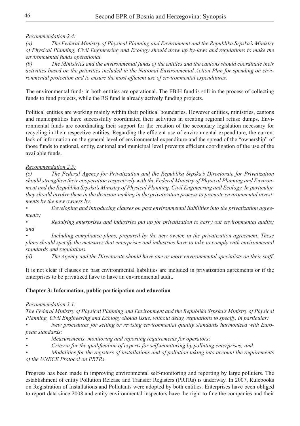#### *Recommendation 2.4:*

*(a) The Federal Ministry of Physical Planning and Environment and the Republika Srpska's Ministry of Physical Planning, Civil Engineering and Ecology should draw up by-laws and regulations to make the environmental funds operational.* 

*(b) The Ministries and the environmental funds of the entities and the cantons should coordinate their activities based on the priorities included in the National Environmental Action Plan for spending on environmental protection and to ensure the most efficient use of environmental expenditures.* 

The environmental funds in both entities are operational. The FBiH fund is still in the process of collecting funds to fund projects, while the RS fund is already actively funding projects.

Political entities are working mainly within their political boundaries. However entities, ministries, cantons and municipalities have successfully coordinated their activities in creating regional refuse dumps. Environmental funds are coordinating their support for the creation of the secondary legislation necessary for recycling in their respective entities. Regarding the efficient use of environmental expenditure, the current lack of information on the general level of environmental expenditure and the spread of the "ownership" of those funds to national, entity, cantonal and municipal level prevents efficient coordination of the use of the available funds.

### *Recommendation 2.5:*

*(c) The Federal Agency for Privatization and the Republika Srpska's Directorate for Privatization should strengthen their cooperation respectively with the Federal Ministry of Physical Planning and Environment and the Republika Srpska's Ministry of Physical Planning, Civil Engineering and Ecology. In particular, they should involve them in the decision-making in the privatization process to promote environmental investments by the new owners by:* 

*• Developing and introducing clauses on past environmental liabilities into the privatization agreements;*

*• Requiring enterprises and industries put up for privatization to carry out environmental audits; and*

*• Including compliance plans, prepared by the new owner, in the privatization agreement. These plans should specify the measures that enterprises and industries have to take to comply with environmental standards and regulations.*

*(d) The Agency and the Directorate should have one or more environmental specialists on their staff.*

It is not clear if clauses on past environmental liabilities are included in privatization agreements or if the enterprises to be privatized have to have an environmental audit.

### **Chapter 3: Information, public participation and education**

#### *Recommendation 3.1:*

*The Federal Ministry of Physical Planning and Environment and the Republika Srpska's Ministry of Physical Planning, Civil Engineering and Ecology should issue, without delay, regulations to specify, in particular:*

*• New procedures for setting or revising environmental quality standards harmonized with European standards;*

*• Measurements, monitoring and reporting requirements for operators;*

*• Criteria for the qualification of experts for self-monitoring by polluting enterprises; and*

*• Modalities for the registers of installations and of pollution taking into account the requirements of the UNECE Protocol on PRTRs.*

Progress has been made in improving environmental self-monitoring and reporting by large polluters. The establishment of entity Pollution Release and Transfer Registers (PRTRs) is underway. In 2007, Rulebooks on Registration of Installations and Pollutants were adopted by both entities. Enterprises have been obliged to report data since 2008 and entity environmental inspectors have the right to fine the companies and their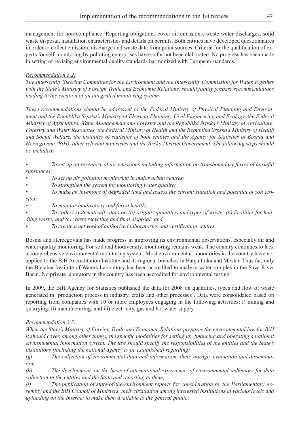management for non-compliance. Reporting obligations cover air emissions, waste water discharges, solid waste disposal, installation characteristics and details on permits. Both entities have developed questionnaires in order to collect emission, discharge and waste data from point sources. Criteria for the qualification of experts for self-monitoring by polluting enterprises have so far not been elaborated. No progress has been made in setting or revising environmental quality standards harmonized with European standards.

## *Recommendation 3.2:*

*The Inter-entity Steering Committee for the Environment and the Inter-entity Commission for Water, together with the State's Ministry of Foreign Trade and Economic Relations, should jointly prepare recommendations leading to the creation of an integrated monitoring system.* 

*These recommendations should be addressed to the Federal Ministry of Physical Planning and Environment and the Republika Srpska's Ministry of Physical Planning, Civil Engineering and Ecology, the Federal Ministry of Agriculture, Water Management and Forestry and the Republika Srpska's Ministry of Agriculture, Forestry and Water Resources, the Federal Ministry of Health and the Republika Srpska's Ministry of Health and Social Welfare, the institutes of statistics of both entities and the Agency for Statistics of Bosnia and Herzegovina (BiH), other relevant ministries and the Brčko District Government. The following steps should be included:*

*• To set up an inventory of air emissions including information on transboundary fluxes of harmful substances;*

*• To set up air pollution monitoring in major urban centres;*

*• To strengthen the system for monitoring water quality;*

*• To make an inventory of degraded land and assess the current situation and potential of soil ero-*

*sion;*

*• To monitor biodiversity and forest health;*

*• To collect systematically data on (a) origins, quantities and types of waste; (b) facilities for handling waste; and (c) waste recycling and final disposal; and*

*• To create a network of authorized laboratories and certification centres.*

Bosnia and Herzegovina has made progress in improving its environmental observations, especially air and water-quality monitoring. For soil and biodiversity, monitoring remains weak. The country continues to lack a comprehensive environmental monitoring system. Most environmental laboratories in the country have not applied to the BiH Accreditation Institute and its regional branches in Banja Luka and Mostar. Thus far, only the Bjelaina Institute of Waters Laboratory has been accredited to analyze water samples in the Sava River Basin. No private laboratory in the country has been accredited for environmental testing.

In 2009, the BiH Agency for Statistics published the data for 2008 on quantities, types and flow of waste generated in 'production process in industry, crafts and other processes'. Data were consolidated based on reporting from companies with 10 or more employees engaging in the following activities: i) mining and quarrying; ii) manufacturing; and iii) electricity, gas and hot water supply.

# *Recommendation 3.3:*

*When the State's Ministry of Foreign Trade and Economic Relations prepares the environmental law for BiH it should cover, among other things, the specific modalities for setting up, financing and operating a national environmental information system. The law should specify the responsibilities of the entities and the State's institutions (including the national agency to be established) regarding:*

*(g) The collection of environmental data and information, their storage, evaluation and dissemination;*

*(h) The development, on the basis of international experience, of environmental indicators for data collection in the entities and the State and reporting to them;*

*(i) The publication of state-of-the-environment reports for consideration by the Parliamentary Assembly and the BiH Council of Ministers, their circulation among interested institutions at various levels and uploading on the Internet to make them available to the general public;*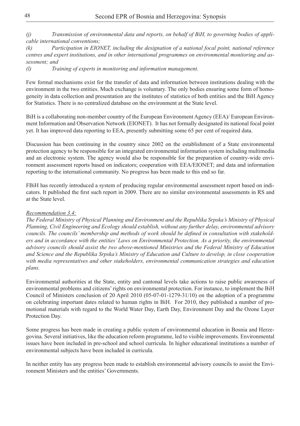*(j) Transmission of environmental data and reports, on behalf of BiH, to governing bodies of applicable international conventions;*

*(k) Participation in EIONET, including the designation of a national focal point, national reference centres and expert institutions, and in other international programmes on environmental monitoring and assessment; and*

*(l) Training of experts in monitoring and information management.*

Few formal mechanisms exist for the transfer of data and information between institutions dealing with the environment in the two entities. Much exchange is voluntary. The only bodies ensuring some form of homogeneity in data collection and presentation are the institutes of statistics of both entities and the BiH Agency for Statistics. There is no centralized database on the environment at the State level.

BiH is a collaborating non-member country of the European Environment Agency (EEA)/ European Environment Information and Observation Network (EIONET). It has not formally designated its national focal point yet. It has improved data reporting to EEA, presently submitting some 65 per cent of required data.

Discussion has been continuing in the country since 2002 on the establishment of a State environmental protection agency to be responsible for an integrated environmental information system including multimedia and an electronic system. The agency would also be responsible for the preparation of country-wide environment assessment reports based on indicators; cooperation with EEA/EIONET; and data and information reporting to the international community. No progress has been made to this end so far.

FBiH has recently introduced a system of producing regular environmental assessment report based on indicators. It published the first such report in 2009. There are no similar environmental assessments in RS and at the State level.

#### *Recommendation 3.4:*

*The Federal Ministry of Physical Planning and Environment and the Republika Srpska's Ministry of Physical Planning, Civil Engineering and Ecology should establish, without any further delay, environmental advisory councils. The councils' membership and methods of work should be defined in consultation with stakeholders and in accordance with the entities' Laws on Environmental Protection. As a priority, the environmental advisory councils should assist the two above-mentioned Ministries and the Federal Ministry of Education and Science and the Republika Srpska's Ministry of Education and Culture to develop, in close cooperation with media representatives and other stakeholders, environmental communication strategies and education plans.*

Environmental authorities at the State, entity and cantonal levels take actions to raise public awareness of environmental problems and citizens'rights on environmental protection. For instance, to implement the BiH Council of Ministers conclusion of 20 April 2010 (05-07-01-1279-31/10) on the adoption of a programme on celebrating important dates related to human rights in BiH. For 2010, they published a number of promotional materials with regard to the World Water Day, Earth Day, Environment Day and the Ozone Layer Protection Day.

Some progress has been made in creating a public system of environmental education in Bosnia and Herzegovina. Several initiatives, like the education reform programme, led to visible improvements. Environmental issues have been included in pre-school and school curricula. In higher educational institutions a number of environmental subjects have been included in curricula.

In neither entity has any progress been made to establish environmental advisory councils to assist the Environment Ministers and the entities' Governments.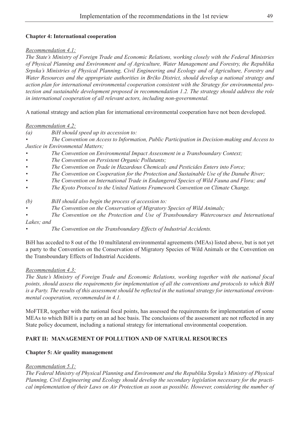#### **Chapter 4: International cooperation**

#### *Recommendation 4.1:*

*The State's Ministry of Foreign Trade and Economic Relations, working closely with the Federal Ministries of Physical Planning and Environment and of Agriculture, Water Management and Forestry, the Republika Srpska's Ministries of Physical Planning, Civil Engineering and Ecology and of Agriculture, Forestry and Water Resources and the appropriate authorities in Brčko District, should develop a national strategy and action plan for international environmental cooperation consistent with the Strategy for environmental protection and sustainable development proposed in recommendation 1.2. The strategy should address the role in international cooperation of all relevant actors, including non-governmental.*

A national strategy and action plan for international environmental cooperation have not been developed.

#### *Recommendation 4.2:*

*(a) BiH should speed up its accession to:*

*• The Convention on Access to Information, Public Participation in Decision-making and Access to Justice in Environmental Matters;*

- *• The Convention on Environmental Impact Assessment in a Transboundary Context;*
- *• The Convention on Persistent Organic Pollutants;*
- *• The Convention on Trade in Hazardous Chemicals and Pesticides Enters into Force;*
- *• The Convention on Cooperation for the Protection and Sustainable Use of the Danube River;*
- *• The Convention on International Trade in Endangered Species of Wild Fauna and Flora; and*
- *• The Kyoto Protocol to the United Nations Framework Convention on Climate Change.*
- *(b) BiH should also begin the process of accession to:*
- *• The Convention on the Conservation of Migratory Species of Wild Animals;*
- *• The Convention on the Protection and Use of Transboundary Watercourses and International Lakes; and*
- *• The Convention on the Transboundary Effects of Industrial Accidents.*

BiH has acceded to 8 out of the 10 multilateral environmental agreements (MEAs) listed above, but is not yet a party to the Convention on the Conservation of Migratory Species of Wild Animals or the Convention on the Transboundary Effects of Industrial Accidents.

#### *Recommendation 4.3:*

*The State's Ministry of Foreign Trade and Economic Relations, working together with the national focal points, should assess the requirements for implementation of all the conventions and protocols to which BiH is a Party. The results of this assessment should be reflected in the national strategy for international environmental cooperation, recommended in 4.1.*

MoFTER, together with the national focal points, has assessed the requirements for implementation of some MEAs to which BiH is a party on an ad hoc basis. The conclusions of the assessment are not reflected in any State policy document, including a national strategy for international environmental cooperation.

### **PART II: MANAGEMENT OF POLLUTION AND OF NATURAL RESOURCES**

#### **Chapter 5: Air quality management**

#### *Recommendation 5.1:*

*The Federal Ministry of Physical Planning and Environment and the Republika Srpska's Ministry of Physical Planning, Civil Engineering and Ecology should develop the secondary legislation necessary for the practical implementation of their Laws on Air Protection as soon as possible. However, considering the number of*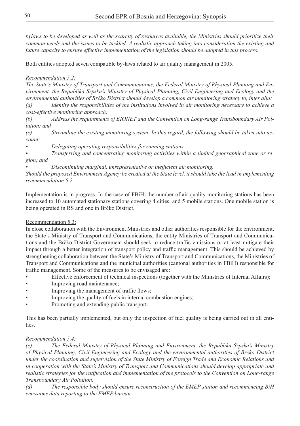*bylaws to be developed as well as the scarcity of resources available, the Ministries should prioritize their common needs and the issues to be tackled. A realistic approach taking into consideration the existing and future capacity to ensure effective implementation of the legislation should be adopted in this process.* 

Both entities adopted seven compatible by-laws related to air quality management in 2005.

# *Recommendation 5.2:*

*The State's Ministry of Transport and Communications, the Federal Ministry of Physical Planning and Environment, the Republika Srpska's Ministry of Physical Planning, Civil Engineering and Ecology and the environmental authorities of Brčko District should develop a common air monitoring strategy to, inter alia: (a) Identify the responsibilities of the institutions involved in air monitoring necessary to achieve a cost-effective monitoring approach;* 

*(b) Address the requirements of EIONET and the Convention on Long-range Transboundary Air Pollution; and*

*(c) Streamline the existing monitoring system. In this regard, the following should be taken into account:*

*• Delegating operating responsibilities for running stations;*

*• Transferring and concentrating monitoring activities within a limited geographical zone or region; and* 

*• Discontinuing marginal, unrepresentative or inefficient air monitoring.*

*Should the proposed Environment Agency be created at the State level, it should take the lead in implementing recommendation 5.2.*

Implementation is in progress. In the case of FBiH, the number of air quality monitoring stations has been increased to 10 automated stationary stations covering 4 cities, and 5 mobile stations. One mobile station is being operated in RS and one in Brčko District.

# Recommendation 5.3:

In close collaboration with the Environment Ministries and other authorities responsible for the environment, the State's Ministry of Transport and Communications, the entity Ministries of Transport and Communications and the Brčko District Government should seek to reduce traffic emissions or at least mitigate their impact through a better integration of transport policy and traffic management. This should be achieved by strengthening collaboration between the State's Ministry of Transport and Communications, the Ministries of Transport and Communications and the municipal authorities (cantonal authorities in FBiH) responsible for traffic management. Some of the measures to be envisaged are:

- Effective enforcement of technical inspections (together with the Ministries of Internal Affairs);
- Improving road maintenance;
- Improving the management of traffic flows;
- Improving the quality of fuels in internal combustion engines;
- Promoting and extending public transport.

This has been partially implemented, but only the inspection of fuel quality is being carried out in all entities.

### *Recommendation 5.4:*

*(c) The Federal Ministry of Physical Planning and Environment, the Republika Srpska's Ministry of Physical Planning, Civil Engineering and Ecology and the environmental authorities of Brčko District under the coordination and supervision of the State Ministry of Foreign Trade and Economic Relations and in cooperation with the State's Ministry of Transport and Communications should develop appropriate and realistic strategies for the ratification and implementation of the protocols to the Convention on Long-range Transboundary Air Pollution.* 

*(d) The responsible body should ensure reconstruction of the EMEP station and recommencing BiH emissions data reporting to the EMEP bureau.*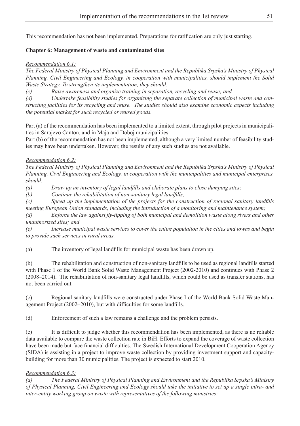This recommendation has not been implemented. Preparations for ratification are only just starting.

# **Chapter 6: Management of waste and contaminated sites**

#### *Recommendation 6.1:*

*The Federal Ministry of Physical Planning and Environment and the Republika Srpska's Ministry of Physical Planning, Civil Engineering and Ecology, in cooperation with municipalities, should implement the Solid Waste Strategy. To strengthen its implementation, they should:*

*(c) Raise awareness and organize training in separation, recycling and reuse; and*

*(d) Undertake feasibility studies for organizing the separate collection of municipal waste and constructing facilities for its recycling and reuse. The studies should also examine economic aspects including the potential market for such recycled or reused goods.*

Part (a) of the recommendation has been implemented to a limited extent, through pilot projects in municipalities in Sarajevo Canton, and in Maja and Doboj municipalities.

Part (b) of the recommendation has not been implemented, although a very limited number of feasibility studies may have been undertaken. However, the results of any such studies are not available.

### *Recommendation 6.2:*

*The Federal Ministry of Physical Planning and Environment and the Republika Srpska's Ministry of Physical Planning, Civil Engineering and Ecology, in cooperation with the municipalities and municipal enterprises, should:* 

*(a) Draw up an inventory of legal landfills and elaborate plans to close dumping sites;*

*(b) Continue the rehabilitation of non-sanitary legal landfills;*

*(c) Speed up the implementation of the projects for the construction of regional sanitary landfills meeting European Union standards, including the introduction of a monitoring and maintenance system;*

*(d) Enforce the law against fly-tipping of both municipal and demolition waste along rivers and other unauthorized sites; and*

*(e) Increase municipal waste services to cover the entire population in the cities and towns and begin to provide such services in rural areas.* 

(a) The inventory of legal landfills for municipal waste has been drawn up.

(b) The rehabilitation and construction of non-sanitary landfills to be used as regional landfills started with Phase 1 of the World Bank Solid Waste Management Project (2002-2010) and continues with Phase 2 (2008–2014). The rehabilitation of non-sanitary legal landfills, which could be used as transfer stations, has not been carried out.

(c) Regional sanitary landfills were constructed under Phase I of the World Bank Solid Waste Management Project (2002–2010), but with difficulties for some landfills.

(d) Enforcement of such a law remains a challenge and the problem persists.

(e) It is difficult to judge whether this recommendation has been implemented, as there is no reliable data available to compare the waste collection rate in BiH. Efforts to expand the coverage of waste collection have been made but face financial difficulties. The Swedish International Development Cooperation Agency (SIDA) is assisting in a project to improve waste collection by providing investment support and capacitybuilding for more than 30 municipalities. The project is expected to start 2010.

### *Recommendation 6.3:*

*(a) The Federal Ministry of Physical Planning and Environment and the Republika Srpska's Ministry of Physical Planning, Civil Engineering and Ecology should take the initiative to set up a single intra- and inter-entity working group on waste with representatives of the following ministries:*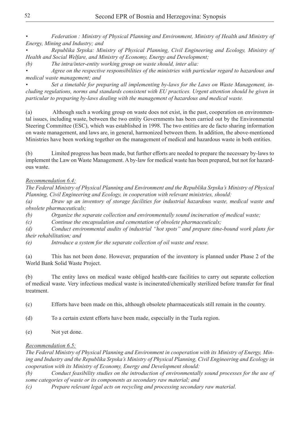*• Federation : Ministry of Physical Planning and Environment, Ministry of Health and Ministry of Energy, Mining and Industry; and*

*• Republika Srpska: Ministry of Physical Planning, Civil Engineering and Ecology, Ministry of Health and Social Welfare, and Ministry of Economy, Energy and Development;*

*(b) The intra/inter-entity working group on waste should, inter alia:*

*• Agree on the respective responsibilities of the ministries with particular regard to hazardous and medical waste management; and*

*• Set a timetable for preparing all implementing by-laws for the Laws on Waste Management, including regulations, norms and standards consistent with EU practices. Urgent attention should be given in particular to preparing by-laws dealing with the management of hazardous and medical waste.* 

(a) Although such a working group on waste does not exist, in the past, cooperation on environmental issues, including waste, between the two entity Governments has been carried out by the Environmental Steering Committee (ESC), which was established in 1998. The two entities are de facto sharing information on waste management, and laws are, in general, harmonized between them. In addition, the above-mentioned Ministries have been working together on the management of medical and hazardous waste in both entities.

(b) Limited progress has been made, but further efforts are needed to prepare the necessary by-laws to implement the Law on Waste Management. A by-law for medical waste has been prepared, but not for hazardous waste.

### *Recommendation 6.4:*

*The Federal Ministry of Physical Planning and Environment and the Republika Srpska's Ministry of Physical Planning, Civil Engineering and Ecology, in cooperation with relevant ministries, should:*

*(a) Draw up an inventory of storage facilities for industrial hazardous waste, medical waste and obsolete pharmaceuticals;*

*(b) Organize the separate collection and environmentally sound incineration of medical waste;*

*(c) Continue the encapsulation and cementation of obsolete pharmaceuticals;*

*(d) Conduct environmental audits of industrial "hot spots" and prepare time-bound work plans for their rehabilitation; and*

*(e) Introduce a system for the separate collection of oil waste and reuse.*

(a) This has not been done. However, preparation of the inventory is planned under Phase 2 of the World Bank Solid Waste Project.

(b) The entity laws on medical waste obliged health-care facilities to carry out separate collection of medical waste. Very infectious medical waste is incinerated/chemically sterilized before transfer for final treatment.

(c) Efforts have been made on this, although obsolete pharmaceuticals still remain in the country.

(d) To a certain extent efforts have been made, especially in the Tuzla region.

(e) Not yet done.

### *Recommendation 6.5:*

*The Federal Ministry of Physical Planning and Environment in cooperation with its Ministry of Energy, Mining and Industry and the Republika Srpska's Ministry of Physical Planning, Civil Engineering and Ecology in cooperation with its Ministry of Economy, Energy and Development should:*

*(b) Conduct feasibility studies on the introduction of environmentally sound processes for the use of some categories of waste or its components as secondary raw material; and*

*(c) Prepare relevant legal acts on recycling and processing secondary raw material.*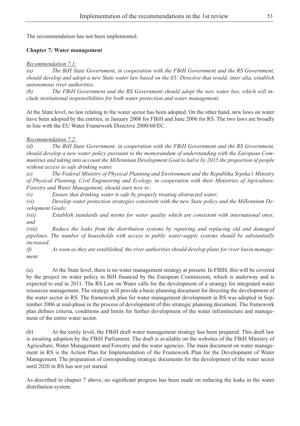The recommendation has not been implemented.

#### **Chapter 7: Water management**

*Recommendation 7.1:*

*(a) The BiH State Government, in cooperation with the FBiH Government and the RS Government, should develop and adopt a new State water law based on the EU Directive that would, inter alia, establish autonomous river authorities.*

*(b) The FBiH Government and the RS Government should adopt the new water law, which will include institutional responsibilities for both water protection and water management.* 

At the State level, no law relating to the water sector has been adopted. On the other hand, new laws on water have been adopted by the entities, in January 2008 for FBiH and June 2006 for RS. The two laws are broadly in line with the EU Water Framework Directive 2000/60/EC.

#### *Recommendation 7.2:*

*(d) The BiH State Government, in cooperation with the FBiH Government and the RS Government, should develop a new water policy pursuant to the memorandum of understanding with the European Communities and taking into account the Millennium Development Goal to halve by 2015 the proportion of people without access to safe drinking water.*

*(e) The Federal Ministry of Physical Planning and Environment and the Republika Srpska's Ministry of Physical Planning, Civil Engineering and Ecology, in cooperation with their Ministries of Agriculture, Forestry and Water Management, should start now to:*

*(v) Ensure that drinking water is safe by properly treating abstracted water;* 

*(vi) Develop water protection strategies consistent with the new State policy and the Millennium Development Goals;* 

*(vii) Establish standards and norms for water quality which are consistent with international ones; and*

*(viii) Reduce the leaks from the distribution systems by repairing and replacing old and damaged pipelines. The number of households with access to public water-supply systems should be substantially increased.*

*(f) As soon as they are established, the river authorities should develop plans for river basin management.*

(a) At the State level, there is no water management strategy at present. In FBIH, this will be covered by the project on water policy in BiH financed by the European Commission, which is underway and is expected to end in 2011. The RS Law on Water calls for the development of a strategy for integrated water resources management. The strategy will provide a basic planning document for directing the development of the water sector in RS. The framework plan for water management development in RS was adopted in September 2006 at mid-phase in the process of development of this strategic planning document. The framework plan defines criteria, conditions and limits for further development of the water infrastructure and management of the entire water sector.

(b) At the entity level, the FBiH draft water management strategy has been prepared. This draft law is awaiting adoption by the FBiH Parliament. The draft is available on the websites of the FBiH Ministry of Agriculture, Water Management and Forestry and the water agencies. The main document on water management in RS is the Action Plan for Implementation of the Framework Plan for the Development of Water Management. The preparation of corresponding strategic documents for the development of the water sector until 2020 in RS has not yet started.

As described in chapter 7 above, no significant progress has been made on reducing the leaks in the water distribution system.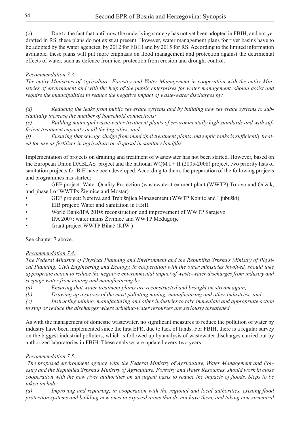# *Recommendation 7.3:*

*The entity Ministries of Agriculture, Forestry and Water Management in cooperation with the entity Ministries of environment and with the help of the public enterprises for water management, should assist and require the municipalities to reduce the negative impact of waste-water discharges by:*

*(d) Reducing the leaks from public sewerage systems and by building new sewerage systems to substantially increase the number of household connections;* 

*(e) Building municipal waste-water treatment plants of environmentally high standards and with sufficient treatment capacity in all the big cities; and*

*(f) Ensuring that sewage sludge from municipal treatment plants and septic tanks is sufficiently treated for use as fertilizer in agriculture or disposal in sanitary landfills.* 

Implementation of projects on draining and treatment of wastewater has not been started. However, based on the European Union DABLAS project and the national WQM I + II (2005-2008) project, two priority lists of sanitation projects for BiH have been developed. According to them, the preparation of the following projects and programmes has started:

GEF project: Water Quality Protection (wastewater treatment plant (WWTP) Trnovo and Odžak, and phase I of WWTPs Živinice and Mostar)

- GEF project: Neretva and Trebišnjica Management (WWTP Konjic and Ljubuški)
- EIB project: Water and Sanitation in FBiH
- World Bank/IPA 2010: reconstruction and improvement of WWTP Sarajevo
- IPA 2007: water mains Živinice and WWTP Međugorie
- Grant project WWTP Bihać (KfW)

See chapter 7 above.

# *Recommendation 7.4:*

*The Federal Ministry of Physical Planning and Environment and the Republika Srpska's Ministry of Physical Planning, Civil Engineering and Ecology, in cooperation with the other ministries involved, should take appropriate action to reduce the negative environmental impact of waste-water discharges from industry and seepage water from mining and manufacturing by:*

- *(a) Ensuring that water treatment plants are reconstructed and brought on stream again;*
- *(b) Drawing up a survey of the most polluting mining, manufacturing and other industries; and*

*(c) Instructing mining, manufacturing and other industries to take immediate and appropriate action to stop or reduce the discharges where drinking-water resources are seriously threatened.* 

As with the management of domestic wastewater, no significant measures to reduce the pollution of water by industry have been implemented since the first EPR, due to lack of funds. For FBIH, there is a regular survey on the biggest industrial polluters, which is followed up by analysis of wastewater discharges carried out by authorized laboratories in FBiH. These analyses are updated every two years.

### *Recommendation 7.5:*

 *The proposed environment agency, with the Federal Ministry of Agriculture, Water Management and Forestry and the Republika Srpska's Ministry of Agriculture, Forestry and Water Resources, should work in close cooperation with the new river authorities on an urgent basis to reduce the impacts of floods. Steps to be taken include:*

*(a) Improving and repairing, in cooperation with the regional and local authorities, existing flood protection systems and building new ones in exposed areas that do not have them, and taking non-structural*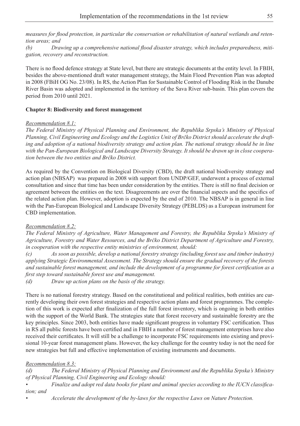*measures for flood protection, in particular the conservation or rehabilitation of natural wetlands and retention areas; and* 

*(b) Drawing up a comprehensive national flood disaster strategy, which includes preparedness, mitigation, recovery and reconstruction.*

There is no flood defence strategy at State level, but there are strategic documents at the entity level. In FBIH, besides the above-mentioned draft water management strategy, the Main Flood Prevention Plan was adopted in 2008 (FBiH OG No. 23/08). In RS, the Action Plan for Sustainable Control of Flooding Risk in the Danube River Basin was adopted and implemented in the territory of the Sava River sub-basin. This plan covers the period from 2010 until 2021.

#### **Chapter 8: Biodiversity and forest management**

#### *Recommendation 8.1:*

*The Federal Ministry of Physical Planning and Environment, the Republika Srpska's Ministry of Physical Planning, Civil Engineering and Ecology and the Logistics Unit of Brčko District should accelerate the drafting and adoption of a national biodiversity strategy and action plan. The national strategy should be in line with the Pan-European Biological and Landscape Diversity Strategy. It should be drawn up in close cooperation between the two entities and Brčko District.*

As required by the Convention on Biological Diversity (CBD), the draft national biodiversity strategy and action plan (NBSAP) was prepared in 2008 with support from UNDP/GEF, underwent a process of external consultation and since that time has been under consideration by the entities. There is still no final decision or agreement between the entities on the text. Disagreements are over the financial aspects and the specifics of the related action plan. However, adoption is expected by the end of 2010. The NBSAP is in general in line with the Pan-European Biological and Landscape Diversity Strategy (PEBLDS) as a European instrument for CBD implementation.

#### *Recommendation 8.2:*

*The Federal Ministry of Agriculture, Water Management and Forestry, the Republika Srpska's Ministry of Agriculture, Forestry and Water Resources, and the Brčko District Department of Agriculture and Forestry, in cooperation with the respective entity ministries of environment, should:*

*(c) As soon as possible, develop a national forestry strategy (including forest use and timber industry) applying Strategic Environmental Assessment. The Strategy should ensure the gradual recovery of the forests and sustainable forest management, and include the development of a programme for forest certification as a first step toward sustainable forest use and management.*

*(d) Draw up action plans on the basis of the strategy.*

There is no national forestry strategy. Based on the constitutional and political realities, both entities are currently developing their own forest strategies and respective action plans and forest programmes. The completion of this work is expected after finalization of the full forest inventory, which is ongoing in both entities with the support of the World Bank. The strategies state that forest recovery and sustainable forestry are the key principles. Since 2003, both entities have made significant progress in voluntary FSC certification. Thus in RS all public forests have been certified and in FBIH a number of forest management enterprises have also received their certificates. It will still be a challenge to incorporate FSC requirements into existing and provisional 10-year forest management plans. However, the key challenge for the country today is not the need for new strategies but full and effective implementation of existing instruments and documents.

#### *Recommendation 8.3:*

*(d) The Federal Ministry of Physical Planning and Environment and the Republika Srpska's Ministry of Physical Planning, Civil Engineering and Ecology should:*

*• Finalize and adopt red data books for plant and animal species according to the IUCN classification; and*

*• Accelerate the development of the by-laws for the respective Laws on Nature Protection.*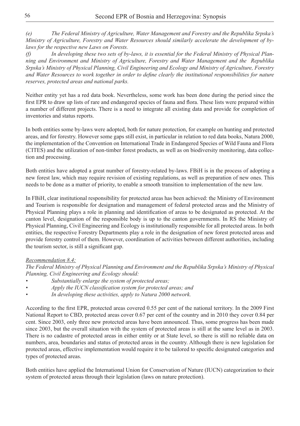*(e) The Federal Ministry of Agriculture, Water Management and Forestry and the Republika Srpska's Ministry of Agriculture, Forestry and Water Resources should similarly accelerate the development of bylaws for the respective new Laws on Forests.*

*(f) In developing these two sets of by-laws, it is essential for the Federal Ministry of Physical Planning and Environment and Ministry of Agriculture, Forestry and Water Management and the Republika Srpska's Ministry of Physical Planning, Civil Engineering and Ecology and Ministry of Agriculture, Forestry and Water Resources to work together in order to define clearly the institutional responsibilities for nature reserves, protected areas and national parks.*

Neither entity yet has a red data book. Nevertheless, some work has been done during the period since the first EPR to draw up lists of rare and endangered species of fauna and flora. These lists were prepared within a number of different projects. There is a need to integrate all existing data and provide for completion of inventories and status reports.

In both entities some by-laws were adopted, both for nature protection, for example on hunting and protected areas, and for forestry. However some gaps still exist, in particular in relation to red data books, Natura 2000, the implementation of the Convention on International Trade in Endangered Species of Wild Fauna and Flora (CITES) and the utilization of non-timber forest products, as well as on biodiversity monitoring, data collection and processing.

Both entities have adopted a great number of forestry-related by-laws. FBiH is in the process of adopting a new forest law, which may require revision of existing regulations, as well as preparation of new ones. This needs to be done as a matter of priority, to enable a smooth transition to implementation of the new law.

In FBiH, clear institutional responsibility for protected areas has been achieved: the Ministry of Environment and Tourism is responsible for designation and management of federal protected areas and the Ministry of Physical Planning plays a role in planning and identification of areas to be designated as protected. At the canton level, designation of the responsible body is up to the canton governments. In RS the Ministry of Physical Planning, Civil Engineering and Ecology is institutionally responsible for all protected areas. In both entities, the respective Forestry Departments play a role in the designation of new forest protected areas and provide forestry control of them. However, coordination of activities between different authorities, including the tourism sector, is still a significant gap.

#### *Recommendation 8.4:*

*The Federal Ministry of Physical Planning and Environment and the Republika Srpska's Ministry of Physical Planning, Civil Engineering and Ecology should:*

- *• Substantially enlarge the system of protected areas;*
- *• Apply the IUCN classification system for protected areas; and*
- *• In developing these activities, apply to Natura 2000 network.*

According to the first EPR, protected areas covered 0.55 per cent of the national territory. In the 2009 First National Report to CBD, protected areas cover 0.67 per cent of the country and in 2010 they cover 0.84 per cent. Since 2003, only three new protected areas have been announced. Thus, some progress has been made since 2003, but the overall situation with the system of protected areas is still at the same level as in 2003. There is no cadastre of protected areas in either entity or at State level, so there is still no reliable data on numbers, area, boundaries and status of protected areas in the country. Although there is new legislation for protected areas, effective implementation would require it to be tailored to specific designated categories and types of protected areas.

Both entities have applied the International Union for Conservation of Nature (IUCN) categorization to their system of protected areas through their legislation (laws on nature protection).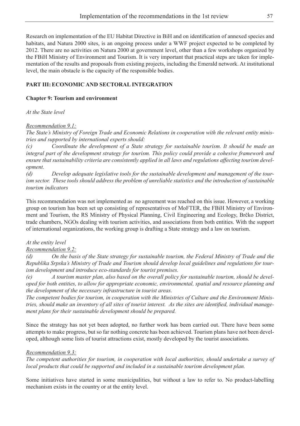Research on implementation of the EU Habitat Directive in BiH and on identification of annexed species and habitats, and Natura 2000 sites, is an ongoing process under a WWF project expected to be completed by 2012. There are no activities on Natura 2000 at government level, other than a few workshops organized by the FBiH Ministry of Environment and Tourism. It is very important that practical steps are taken for implementation of the results and proposals from existing projects, including the Emerald network. At institutional level, the main obstacle is the capacity of the responsible bodies.

## **PART III:ECONOMIC AND SECTORAL INTEGRATION**

#### **Chapter 9: Tourism and environment**

*At the State level*

#### *Recommendation 9.1:*

*The State's Ministry of Foreign Trade and Economic Relations in cooperation with the relevant entity ministries and supported by international experts should:* 

*(c) Coordinate the development of a State strategy for sustainable tourism. It should be made an integral part of the development strategy for tourism. This policy could provide a cohesive framework and ensure that sustainability criteria are consistently applied in all laws and regulations affecting tourism development.* 

*(d) Develop adequate legislative tools for the sustainable development and management of the tourism sector. These tools should address the problem of unreliable statistics and the introduction of sustainable tourism indicators*

This recommendation was not implemented as no agreement was reached on this issue. However, a working group on tourism has been set up consisting of representatives of MoFTER, the FBiH Ministry of Environment and Tourism, the RS Ministry of Physical Planning, Civil Engineering and Ecology, Brčko District, trade chambers, NGOs dealing with tourism activities, and associations from both entities. With the support of international organizations, the working group is drafting a State strategy and a law on tourism.

#### *At the entity level*

### *Recommendation 9.2:*

*(d) On the basis of the State strategy for sustainable tourism, the Federal Ministry of Trade and the Republika Srpska's Ministry of Trade and Tourism should develop local guidelines and regulations for tourism development and introduce eco-standards for tourist premises.* 

*(e) A tourism master plan, also based on the overall policy for sustainable tourism, should be developed for both entities, to allow for appropriate economic, environmental, spatial and resource planning and the development of the necessary infrastructure in tourist areas.*

*The competent bodies for tourism, in cooperation with the Ministries of Culture and the Environment Ministries, should make an inventory of all sites of tourist interest. As the sites are identified, individual management plans for their sustainable development should be prepared.* 

Since the strategy has not yet been adopted, no further work has been carried out. There have been some attempts to make progress, but so far nothing concrete has been achieved. Tourism plans have not been developed, although some lists of tourist attractions exist, mostly developed by the tourist associations.

#### *Recommendation 9.3:*

*The competent authorities for tourism, in cooperation with local authorities, should undertake a survey of local products that could be supported and included in a sustainable tourism development plan.*

Some initiatives have started in some municipalities, but without a law to refer to. No product-labelling mechanism exists in the country or at the entity level.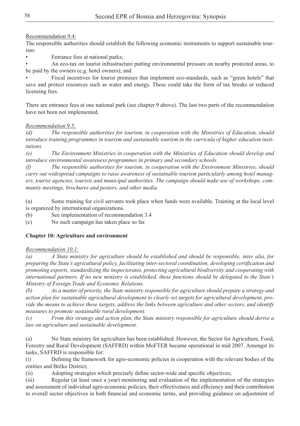# Recommendation 9.4:

The responsible authorities should establish the following economic instruments to support sustainable tourism:

Entrance fees at national parks;

An eco-tax on tourist infrastructure putting environmental pressure on nearby protected areas, to be paid by the owners (e.g. hotel owners); and

Fiscal incentives for tourist premises that implement eco-standards, such as "green hotels" that save and protect resources such as water and energy. These could take the form of tax breaks or reduced licensing fees.

There are entrance fees at one national park (see chapter 9 above). The last two parts of the recommendation have not been not implemented.

# *Recommendation 9.5:*

*(d) The responsible authorities for tourism, in cooperation with the Ministries of Education, should introduce training programmes in tourism and sustainable tourism in the curricula of higher education institutions.*

*(e) The Environment Ministries in cooperation with the Ministries of Education should develop and introduce environmental awareness programmes in primary and secondary schools.*

*(f) The responsible authorities for tourism, in cooperation with the Environment Ministries, should carry out widespread campaigns to raise awareness of sustainable tourism particularly among hotel managers, tourist agencies, tourists and municipal authorities. The campaign should make use of workshops, community meetings, brochures and posters, and other media.* 

(a) Some training for civil servants took place when funds were available. Training at the local level is organized by international organizations.

(b) See implementation of recommendation 3.4

(c) No such campaign has taken place so far.

# **Chapter 10: Agriculture and environment**

# *Recommendation 10.1:*

*(a) A State ministry for agriculture should be established and should be responsible, inter alia, for preparing the State's agricultural policy, facilitating inter-sectoral coordination, developing certification and promoting exports, standardizing the inspectorates, protecting agricultural biodiversity and cooperating with international partners. If no new ministry is established, these functions should be delegated to the State's Ministry of Foreign Trade and Economic Relations.* 

*(b) As a matter of priority, the State ministry responsible for agriculture should prepare a strategy and action plan for sustainable agricultural development to clearly set targets for agricultural development, provide the means to achieve these targets, address the links between agriculture and other sectors, and identify measures to promote sustainable rural development.*

*(c) From this strategy and action plan, the State ministry responsible for agriculture should derive a law on agriculture and sustainable development.*

(a) No State ministry for agriculture has been established. However, the Sector for Agriculture, Food, Forestry and Rural Development (SAFFRD) within MoFTER became operational in mid 2007. Amongst its tasks, SAFFRD is responsible for:

(i) Defining the framework for agro-economic policies in cooperation with the relevant bodies of the entities and Brčko District;

(ii) Adopting strategies which precisely define sector-wide and specific objectives;

(iii) Regular (at least once a year) monitoring and evaluation of the implementation of the strategies and assessment of individual agro-economic policies, their effectiveness and efficiency and their contribution to overall sector objectives in both financial and economic terms, and providing guidance on adjustment of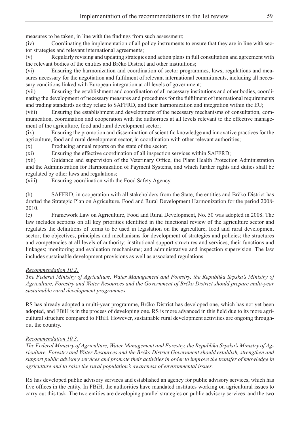measures to be taken, in line with the findings from such assessment;

(iv) Coordinating the implementation of all policy instruments to ensure that they are in line with sector strategies and relevant international agreements;

(v) Regularly revising and updating strategies and action plans in full consultation and agreement with the relevant bodies of the entities and Brčko District and other institutions;

(vi) Ensuring the harmonization and coordination of sector programmes, laws, regulations and measures necessary for the negotiation and fulfilment of relevant international commitments, including all necessary conditions linked with European integration at all levels of government;

(vii) Ensuring the establishment and coordination of all necessary institutions and other bodies, coordinating the development of necessary measures and procedures for the fulfilment of international requirements and trading standards as they relate to SAFFRD, and their harmonization and integration within the EU;

(viii) Ensuring the establishment and development of the necessary mechanisms of consultation, communication, coordination and cooperation with the authorities at all levels relevant to the effective management of the agriculture, food and rural development sector;

(ix) Ensuring the promotion and dissemination of scientific knowledge and innovative practices for the agriculture, food and rural development sector, in coordination with other relevant authorities;

 $(x)$  Producing annual reports on the state of the sector;

(xi) Ensuring the effective coordination of all inspection services within SAFFRD;

(xii) Guidance and supervision of the Veterinary Office, the Plant Health Protection Administration and the Administration for Harmonization of Payment Systems, and which further rights and duties shall be regulated by other laws and regulations;

(xiii) Ensuring coordination with the Food Safety Agency.

(b) SAFFRD, in cooperation with all stakeholders from the State, the entities and Brčko District has drafted the Strategic Plan on Agriculture, Food and Rural Development Harmonization for the period 2008- 2010.

(c) Framework Law on Agriculture, Food and Rural Development, No. 50 was adopted in 2008. The law includes sections on all key priorities identified in the functional review of the agriculture sector and regulates the definitions of terms to be used in legislation on the agriculture, food and rural development sector; the objectives, principles and mechanisms for development of strategies and policies; the structures and competencies at all levels of authority; institutional support structures and services, their functions and linkages; monitoring and evaluation mechanisms; and administrative and inspection supervision. The law includes sustainable development provisions as well as associated regulations

### *Recommendation 10.2:*

*The Federal Ministry of Agriculture, Water Management and Forestry, the Republika Srpska's Ministry of Agriculture, Forestry and Water Resources and the Government of Brčko District should prepare multi-year sustainable rural development programmes.* 

RS has already adopted a multi-year programme, Brčko District has developed one, which has not yet been adopted, and FBiH is in the process of developing one. RS is more advanced in this field due to its more agricultural structure compared to FBiH. However, sustainable rural development activities are ongoing throughout the country.

# *Recommendation 10.3:*

*The Federal Ministry of Agriculture, Water Management and Forestry, the Republika Srpska's Ministry of Agriculture, Forestry and Water Resources and the Brčko District Government should establish, strengthen and support public advisory services and promote their activities in order to improve the transfer of knowledge in agriculture and to raise the rural population's awareness of environmental issues.* 

RS has developed public advisory services and established an agency for public advisory services, which has five offices in the entity. In FBiH, the authorities have mandated institutes working on agricultural issues to carry out this task. The two entities are developing parallel strategies on public advisory services and the two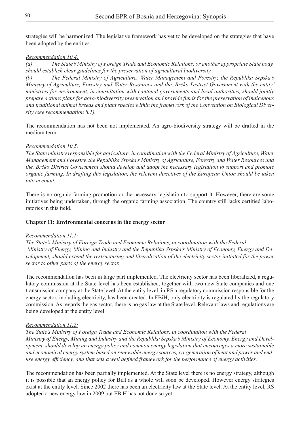strategies will be harmonized. The legislative framework has yet to be developed on the strategies that have been adopted by the entities.

#### *Recommendation 10.4:*

*(a) The State's Ministry of Foreign Trade and Economic Relations, or another appropriate State body, should establish clear guidelines for the preservation of agricultural biodiversity.*

*(b) The Federal Ministry of Agriculture, Water Management and Forestry, the Republika Srpska's Ministry of Agriculture, Forestry and Water Resources and the, Brčko District Government with the entity' ministries for environment, in consultation with cantonal governments and local authorities, should jointly prepare actions plans for agro-biodiversity preservation and provide funds for the preservation of indigenous and traditional animal breeds and plant species within the framework of the Convention on Biological Diversity (see recommendation 8.1).*

The recommendation has not been not implemented. An agro-biodiversity strategy will be drafted in the medium term.

#### *Recommendation 10.5:*

*The State ministry responsible for agriculture, in coordination with the Federal Ministry of Agriculture, Water Management and Forestry, the Republika Srpska's Ministry of Agriculture, Forestry and Water Resources and the, Brčko District Government should develop and adopt the necessary legislation to support and promote organic farming. In drafting this legislation, the relevant directives of the European Union should be taken into account.*

There is no organic farming promotion or the necessary legislation to support it. However, there are some initiatives being undertaken, through the organic farming association. The country still lacks certified laboratories in this field.

#### **Chapter 11: Environmental concerns in the energy sector**

#### *Recommendation 11.1:*

*The State's Ministry of Foreign Trade and Economic Relations, in coordination with the Federal Ministry of Energy, Mining and Industry and the Republika Srpska's Ministry of Economy, Energy and Development, should extend the restructuring and liberalization of the electricity sector initiated for the power sector to other parts of the energy sector.* 

The recommendation has been in large part implemented. The electricity sector has been liberalized, a regulatory commission at the State level has been established, together with two new State companies and one transmission company at the State level. At the entity level, in RS a regulatory commission responsible for the energy sector, including electricity, has been created. In FBiH, only electricity is regulated by the regulatory commission. As regards the gas sector, there is no gas law at the State level. Relevant laws and regulations are being developed at the entity level.

#### *Recommendation 11.2:*

*The State's Ministry of Foreign Trade and Economic Relations, in coordination with the Federal Ministry of Energy, Mining and Industry and the Republika Srpska's Ministry of Economy, Energy and Development, should develop an energy policy and common energy legislation that encourages a more sustainable and economical energy system based on renewable energy sources, co-generation of heat and power and enduse energy efficiency, and that sets a well defined framework for the performance of energy activities.* 

The recommendation has been partially implemented. At the State level there is no energy strategy, although it is possible that an energy policy for BiH as a whole will soon be developed. However energy strategies exist at the entity level. Since 2002 there has been an electricity law at the State level. At the entity level, RS adopted a new energy law in 2009 but FBiH has not done so yet.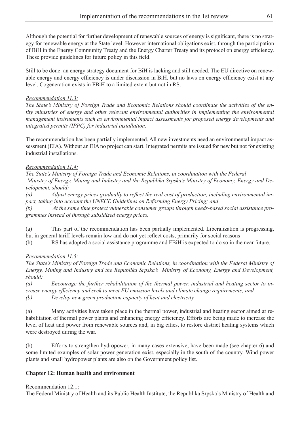Although the potential for further development of renewable sources of energy is significant, there is no strategy for renewable energy at the State level. However international obligations exist, through the participation of BiH in the Energy Community Treaty and the Energy Charter Treaty and its protocol on energy efficiency. These provide guidelines for future policy in this field.

Still to be done: an energy strategy document for BiH is lacking and still needed. The EU directive on renewable energy and energy efficiency is under discussion in BiH. but no laws on energy efficiency exist at any level. Cogeneration exists in FBiH to a limited extent but not in RS.

#### *Recommendation 11.3:*

*The State's Ministry of Foreign Trade and Economic Relations should coordinate the activities of the entity ministries of energy and other relevant environmental authorities in implementing the environmental management instruments such as environmental impact assessments for proposed energy developments and integrated permits (IPPC) for industrial installation.* 

The recommendation has been partially implemented. All new investments need an environmental impact assessment (EIA). Without an EIA no project can start. Integrated permits are issued for new but not for existing industrial installations.

#### *Recommendation 11.4:*

*The State's Ministry of Foreign Trade and Economic Relations, in coordination with the Federal Ministry of Energy, Mining and Industry and the Republika Srpska's Ministry of Economy, Energy and Development, should:*

*(a) Adjust energy prices gradually to reflect the real cost of production, including environmental impact, taking into account the UNECE Guidelines on Reforming Energy Pricing; and*

*(b) At the same time protect vulnerable consumer groups through needs-based social assistance programmes instead of through subsidized energy prices.*

(a) This part of the recommendation has been partially implemented. Liberalization is progressing, but in general tariff levels remain low and do not yet reflect costs, primarily for social reasons

(b) RS has adopted a social assistance programme and FBiH is expected to do so in the near future.

### *Recommendation 11.5:*

*The State's Ministry of Foreign Trade and Economic Relations, in coordination with the Federal Ministry of Energy, Mining and Industry and the Republika Srpska's Ministry of Economy, Energy and Development, should:*

*(a) Encourage the further rehabilitation of the thermal power, industrial and heating sector to increase energy efficiency and seek to meet EU emission levels and climate change requirements; and (b) Develop new green production capacity of heat and electricity.*

(a) Many activities have taken place in the thermal power, industrial and heating sector aimed at rehabilitation of thermal power plants and enhancing energy efficiency. Efforts are being made to increase the level of heat and power from renewable sources and, in big cities, to restore district heating systems which were destroyed during the war.

(b) Efforts to strengthen hydropower, in many cases extensive, have been made (see chapter 6) and some limited examples of solar power generation exist, especially in the south of the country. Wind power plants and small hydropower plants are also on the Government policy list.

#### **Chapter 12: Human health and environment**

#### Recommendation 12.1:

The Federal Ministry of Health and its Public Health Institute, the Republika Srpska's Ministry of Health and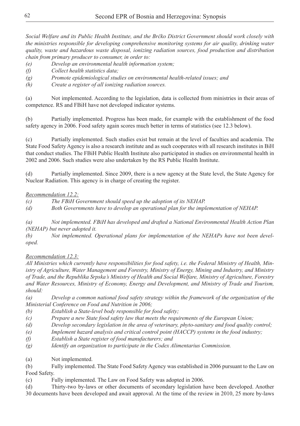*Social Welfare and its Public Health Institute, and the Brčko District Government should work closely with the ministries responsible for developing comprehensive monitoring systems for air quality, drinking water quality, waste and hazardous waste disposal, ionizing radiation sources, food production and distribution chain from primary producer to consumer, in order to:*

- *(e) Develop an environmental health information system;*
- *(f) Collect health statistics data;*
- *(g) Promote epidemiological studies on environmental health-related issues; and*
- *(h) Create a register of all ionizing radiation sources.*

(a) Not implemented. According to the legislation, data is collected from ministries in their areas of competence. RS and FBiH have not developed indicator systems.

(b) Partially implemented. Progress has been made, for example with the establishment of the food safety agency in 2006. Food safety again scores much better in terms of statistics (see 12.3 below).

(c) Partially implemented. Such studies exist but remain at the level of faculties and academia. The State Food Safety Agency is also a research institute and as such cooperates with all research institutes in BiH that conduct studies. The FBiH Public Health Institute also participated in studies on environmental health in 2002 and 2006. Such studies were also undertaken by the RS Public Health Institute.

(d) Partially implemented. Since 2009, there is a new agency at the State level, the State Agency for Nuclear Radiation. This agency is in charge of creating the register.

# *Recommendation 12.2:*

*(c) The FBiH Government should speed up the adoption of its NEHAP.*

*(d) Both Governments have to develop an operational plan for the implementation of NEHAP.*

*(a) Not implemented. FBiH has developed and drafted a National Environmental Health Action Plan (NEHAP) but never adopted it.* 

*(b) Not implemented. Operational plans for implementation of the NEHAPs have not been developed.*

# *Recommendation 12.3:*

*All Ministries which currently have responsibilities for food safety, i.e. the Federal Ministry of Health, Ministry of Agriculture, Water Management and Forestry, Ministry of Energy, Mining and Industry, and Ministry of Trade, and the Republika Srpska's Ministry of Health and Social Welfare, Ministry of Agriculture, Forestry and Water Resources, Ministry of Economy, Energy and Development, and Ministry of Trade and Tourism, should:* 

*(a) Develop a common national food safety strategy within the framework of the organization of the Ministerial Conference on Food and Nutrition in 2006;*

*(b) Establish a State-level body responsible for food safety;*

*(c) Prepare a new State food safety law that meets the requirements of the European Union;* 

- *(d) Develop secondary legislation in the area of veterinary, phyto-sanitary and food quality control;*
- *(e) Implement hazard analysis and critical control point (HACCP) systems in the food industry;*
- *(f) Establish a State register of food manufacturers; and*
- *(g) Identify an organization to participate in the Codex Alimentarius Commission.*
- (a) Not implemented.

(b) Fully implemented. The State Food Safety Agency was established in 2006 pursuant to the Law on Food Safety.

(c) Fully implemented. The Law on Food Safety was adopted in 2006.

(d) Thirty-two by-laws or other documents of secondary legislation have been developed. Another 30 documents have been developed and await approval. At the time of the review in 2010, 25 more by-laws